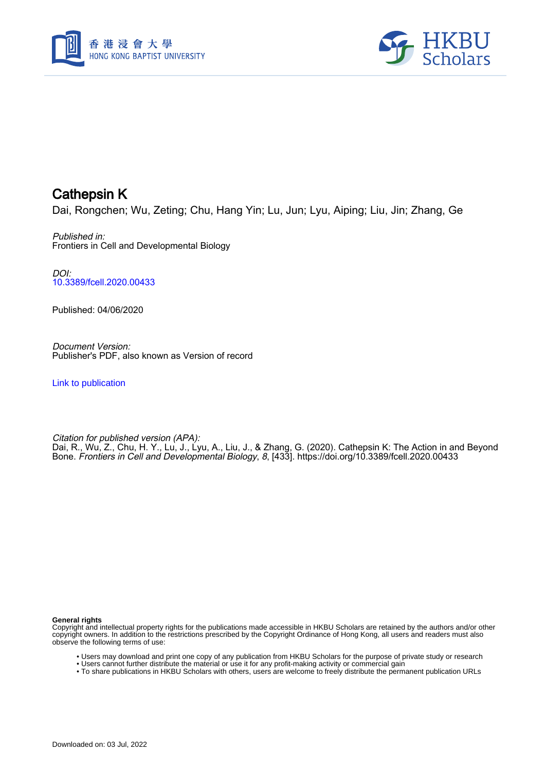



## Cathepsin K

Dai, Rongchen; Wu, Zeting; Chu, Hang Yin; Lu, Jun; Lyu, Aiping; Liu, Jin; Zhang, Ge

#### Published in: Frontiers in Cell and Developmental Biology

DOI: [10.3389/fcell.2020.00433](https://doi.org/10.3389/fcell.2020.00433)

Published: 04/06/2020

Document Version: Publisher's PDF, also known as Version of record

[Link to publication](https://scholars.hkbu.edu.hk/en/publications/08c26959-03eb-42dd-a8fd-e56fc81008ba)

Citation for published version (APA): Dai, R., Wu, Z., Chu, H. Y., Lu, J., Lyu, A., Liu, J., & Zhang, G. (2020). Cathepsin K: The Action in and Beyond Bone. Frontiers in Cell and Developmental Biology, 8, [433]. <https://doi.org/10.3389/fcell.2020.00433>

#### **General rights**

Copyright and intellectual property rights for the publications made accessible in HKBU Scholars are retained by the authors and/or other copyright owners. In addition to the restrictions prescribed by the Copyright Ordinance of Hong Kong, all users and readers must also observe the following terms of use:

- Users may download and print one copy of any publication from HKBU Scholars for the purpose of private study or research
- Users cannot further distribute the material or use it for any profit-making activity or commercial gain
- To share publications in HKBU Scholars with others, users are welcome to freely distribute the permanent publication URLs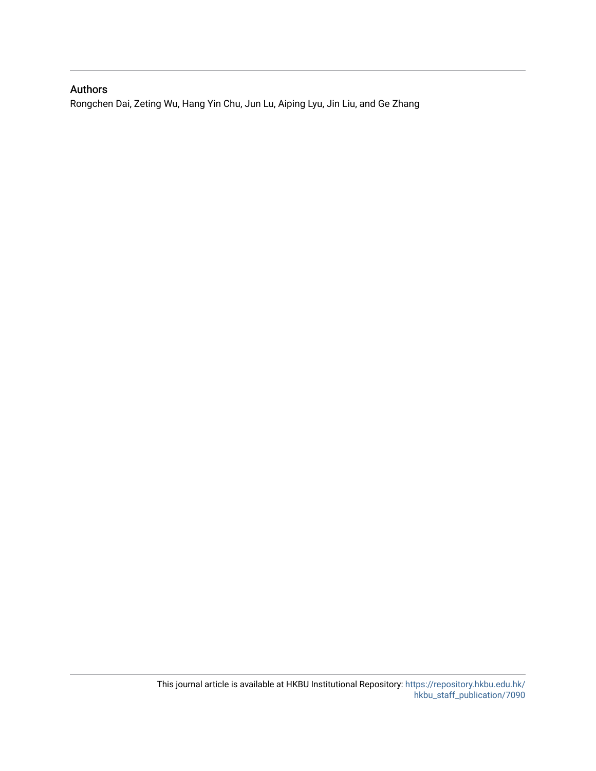## Authors

Rongchen Dai, Zeting Wu, Hang Yin Chu, Jun Lu, Aiping Lyu, Jin Liu, and Ge Zhang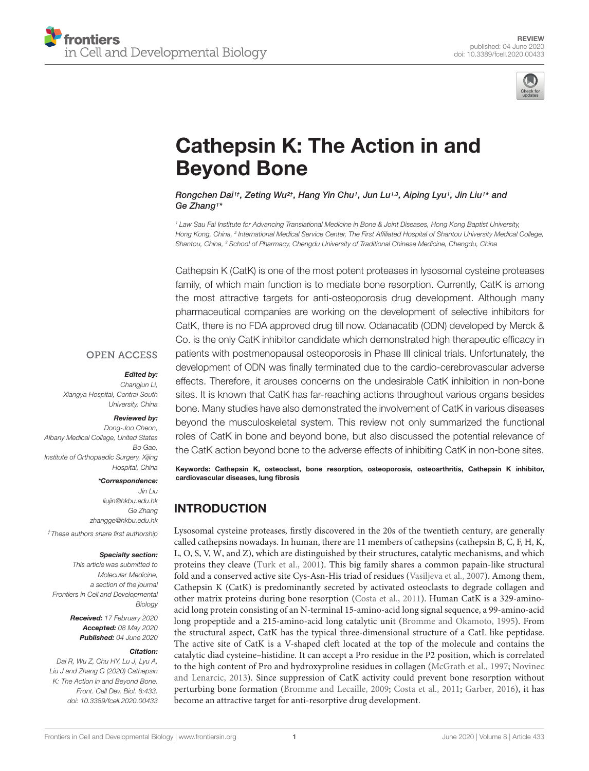



# [Cathepsin K: The Action in and](https://www.frontiersin.org/articles/10.3389/fcell.2020.00433/full) Beyond Bone

#### Rongchen Dai<sup>1†</sup>, Zeting Wu<sup>2†</sup>, [Hang Yin Chu](http://loop.frontiersin.org/people/945050/overview)<sup>1</sup>, [Jun Lu](http://loop.frontiersin.org/people/910957/overview)<sup>1,3</sup>, [Aiping Lyu](http://loop.frontiersin.org/people/288107/overview)<sup>1</sup>, Jin Liu1\* and [Ge Zhang](http://loop.frontiersin.org/people/314373/overview)1\*

<sup>1</sup> Law Sau Fai Institute for Advancing Translational Medicine in Bone & Joint Diseases, Hong Kong Baptist University, Hong Kong, China, <sup>2</sup> International Medical Service Center, The First Affiliated Hospital of Shantou University Medical College, Shantou, China, <sup>3</sup> School of Pharmacy, Chengdu University of Traditional Chinese Medicine, Chengdu, China

Cathepsin K (CatK) is one of the most potent proteases in lysosomal cysteine proteases family, of which main function is to mediate bone resorption. Currently, CatK is among the most attractive targets for anti-osteoporosis drug development. Although many pharmaceutical companies are working on the development of selective inhibitors for CatK, there is no FDA approved drug till now. Odanacatib (ODN) developed by Merck & Co. is the only CatK inhibitor candidate which demonstrated high therapeutic efficacy in patients with postmenopausal osteoporosis in Phase III clinical trials. Unfortunately, the development of ODN was finally terminated due to the cardio-cerebrovascular adverse effects. Therefore, it arouses concerns on the undesirable CatK inhibition in non-bone sites. It is known that CatK has far-reaching actions throughout various organs besides bone. Many studies have also demonstrated the involvement of CatK in various diseases beyond the musculoskeletal system. This review not only summarized the functional roles of CatK in bone and beyond bone, but also discussed the potential relevance of the CatK action beyond bone to the adverse effects of inhibiting CatK in non-bone sites.

Keywords: Cathepsin K, osteoclast, bone resorption, osteoporosis, osteoarthritis, Cathepsin K inhibitor, cardiovascular diseases, lung fibrosis

## INTRODUCTION

Lysosomal cysteine proteases, firstly discovered in the 20s of the twentieth century, are generally called cathepsins nowadays. In human, there are 11 members of cathepsins (cathepsin B, C, F, H, K, L, O, S, V, W, and Z), which are distinguished by their structures, catalytic mechanisms, and which proteins they cleave (Turk et al., 2001). This big family shares a common papain-like structural fold and a conserved active site Cys-Asn-His triad of residues (Vasiljeva et al., 2007). Among them, Cathepsin K (CatK) is predominantly secreted by activated osteoclasts to degrade collagen and other matrix proteins during bone resorption (Costa et al., 2011). Human CatK is a 329-aminoacid long protein consisting of an N-terminal 15-amino-acid long signal sequence, a 99-amino-acid long propeptide and a 215-amino-acid long catalytic unit (Bromme and Okamoto, 1995). From the structural aspect, CatK has the typical three-dimensional structure of a CatL like peptidase. The active site of CatK is a V-shaped cleft located at the top of the molecule and contains the catalytic diad cysteine–histidine. It can accept a Pro residue in the P2 position, which is correlated to the high content of Pro and hydroxyproline residues in collagen (McGrath et al., 1997; Novinec and Lenarcic, 2013). Since suppression of CatK activity could prevent bone resorption without perturbing bone formation (Bromme and Lecaille, 2009; Costa et al., 2011; Garber, 2016), it has become an attractive target for anti-resorptive drug development.

#### **OPEN ACCESS**

#### Edited by:

Changiun Li, Xiangya Hospital, Central South University, China

#### Reviewed by:

Dong-Joo Cheon, Albany Medical College, United States Bo Gao, Institute of Orthopaedic Surgery, Xijing Hospital, China

#### \*Correspondence:

Jin Liu liujin@hkbu.edu.hk Ge Zhang zhangge@hkbu.edu.hk †These authors share first authorship

#### Specialty section:

This article was submitted to Molecular Medicine, a section of the journal Frontiers in Cell and Developmental **Biology** Received: 17 February 2020

Accepted: 08 May 2020 Published: 04 June 2020

#### Citation:

Dai R, Wu Z, Chu HY, Lu J, Lyu A, Liu J and Zhang G (2020) Cathepsin K: The Action in and Beyond Bone. Front. Cell Dev. Biol. 8:433. doi: [10.3389/fcell.2020.00433](https://doi.org/10.3389/fcell.2020.00433)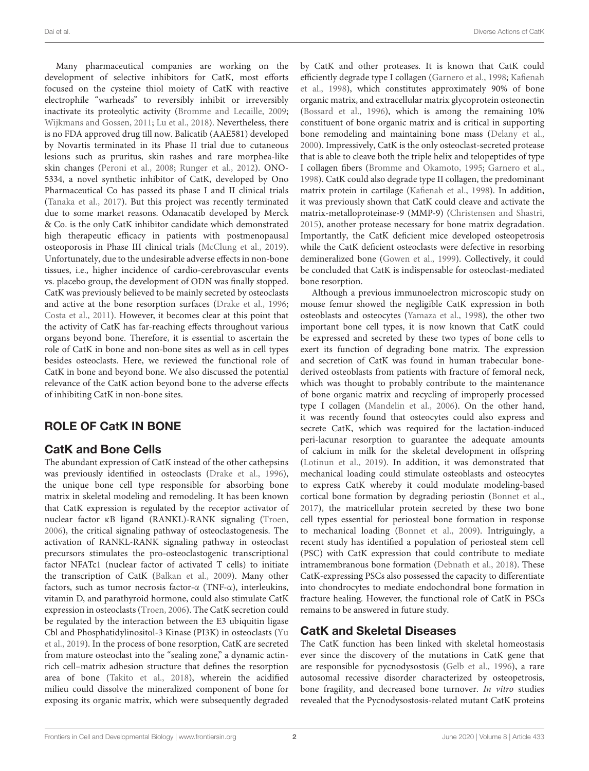Many pharmaceutical companies are working on the development of selective inhibitors for CatK, most efforts focused on the cysteine thiol moiety of CatK with reactive electrophile "warheads" to reversibly inhibit or irreversibly inactivate its proteolytic activity (Bromme and Lecaille, 2009; Wijkmans and Gossen, 2011; Lu et al., 2018). Nevertheless, there is no FDA approved drug till now. Balicatib (AAE581) developed by Novartis terminated in its Phase II trial due to cutaneous lesions such as pruritus, skin rashes and rare morphea-like skin changes (Peroni et al., 2008; Runger et al., 2012). ONO-5334, a novel synthetic inhibitor of CatK, developed by Ono Pharmaceutical Co has passed its phase I and II clinical trials (Tanaka et al., 2017). But this project was recently terminated due to some market reasons. Odanacatib developed by Merck & Co. is the only CatK inhibitor candidate which demonstrated high therapeutic efficacy in patients with postmenopausal osteoporosis in Phase III clinical trials (McClung et al., 2019). Unfortunately, due to the undesirable adverse effects in non-bone tissues, i.e., higher incidence of cardio-cerebrovascular events vs. placebo group, the development of ODN was finally stopped. CatK was previously believed to be mainly secreted by osteoclasts and active at the bone resorption surfaces (Drake et al., 1996; Costa et al., 2011). However, it becomes clear at this point that the activity of CatK has far-reaching effects throughout various organs beyond bone. Therefore, it is essential to ascertain the role of CatK in bone and non-bone sites as well as in cell types besides osteoclasts. Here, we reviewed the functional role of CatK in bone and beyond bone. We also discussed the potential relevance of the CatK action beyond bone to the adverse effects of inhibiting CatK in non-bone sites.

## ROLE OF CatK IN BONE

## CatK and Bone Cells

The abundant expression of CatK instead of the other cathepsins was previously identified in osteoclasts (Drake et al., 1996), the unique bone cell type responsible for absorbing bone matrix in skeletal modeling and remodeling. It has been known that CatK expression is regulated by the receptor activator of nuclear factor κB ligand (RANKL)-RANK signaling (Troen, 2006), the critical signaling pathway of osteoclastogenesis. The activation of RANKL-RANK signaling pathway in osteoclast precursors stimulates the pro-osteoclastogenic transcriptional factor NFATc1 (nuclear factor of activated T cells) to initiate the transcription of CatK (Balkan et al., 2009). Many other factors, such as tumor necrosis factor-α (TNF-α), interleukins, vitamin D, and parathyroid hormone, could also stimulate CatK expression in osteoclasts (Troen, 2006). The CatK secretion could be regulated by the interaction between the E3 ubiquitin ligase Cbl and Phosphatidylinositol-3 Kinase (PI3K) in osteoclasts (Yu et al., 2019). In the process of bone resorption, CatK are secreted from mature osteoclast into the "sealing zone," a dynamic actinrich cell–matrix adhesion structure that defines the resorption area of bone (Takito et al., 2018), wherein the acidified milieu could dissolve the mineralized component of bone for exposing its organic matrix, which were subsequently degraded

by CatK and other proteases. It is known that CatK could efficiently degrade type I collagen (Garnero et al., 1998; Kafienah et al., 1998), which constitutes approximately 90% of bone organic matrix, and extracellular matrix glycoprotein osteonectin (Bossard et al., 1996), which is among the remaining 10% constituent of bone organic matrix and is critical in supporting bone remodeling and maintaining bone mass (Delany et al., 2000). Impressively, CatK is the only osteoclast-secreted protease that is able to cleave both the triple helix and telopeptides of type I collagen fibers (Bromme and Okamoto, 1995; Garnero et al., 1998). CatK could also degrade type II collagen, the predominant matrix protein in cartilage (Kafienah et al., 1998). In addition, it was previously shown that CatK could cleave and activate the matrix-metalloproteinase-9 (MMP-9) (Christensen and Shastri, 2015), another protease necessary for bone matrix degradation. Importantly, the CatK deficient mice developed osteopetrosis while the CatK deficient osteoclasts were defective in resorbing demineralized bone (Gowen et al., 1999). Collectively, it could be concluded that CatK is indispensable for osteoclast-mediated bone resorption.

Although a previous immunoelectron microscopic study on mouse femur showed the negligible CatK expression in both osteoblasts and osteocytes (Yamaza et al., 1998), the other two important bone cell types, it is now known that CatK could be expressed and secreted by these two types of bone cells to exert its function of degrading bone matrix. The expression and secretion of CatK was found in human trabecular bonederived osteoblasts from patients with fracture of femoral neck, which was thought to probably contribute to the maintenance of bone organic matrix and recycling of improperly processed type I collagen (Mandelin et al., 2006). On the other hand, it was recently found that osteocytes could also express and secrete CatK, which was required for the lactation-induced peri-lacunar resorption to guarantee the adequate amounts of calcium in milk for the skeletal development in offspring (Lotinun et al., 2019). In addition, it was demonstrated that mechanical loading could stimulate osteoblasts and osteocytes to express CatK whereby it could modulate modeling-based cortical bone formation by degrading periostin (Bonnet et al., 2017), the matricellular protein secreted by these two bone cell types essential for periosteal bone formation in response to mechanical loading (Bonnet et al., 2009). Intriguingly, a recent study has identified a population of periosteal stem cell (PSC) with CatK expression that could contribute to mediate intramembranous bone formation (Debnath et al., 2018). These CatK-expressing PSCs also possessed the capacity to differentiate into chondrocytes to mediate endochondral bone formation in fracture healing. However, the functional role of CatK in PSCs remains to be answered in future study.

## CatK and Skeletal Diseases

The CatK function has been linked with skeletal homeostasis ever since the discovery of the mutations in CatK gene that are responsible for pycnodysostosis (Gelb et al., 1996), a rare autosomal recessive disorder characterized by osteopetrosis, bone fragility, and decreased bone turnover. In vitro studies revealed that the Pycnodysostosis-related mutant CatK proteins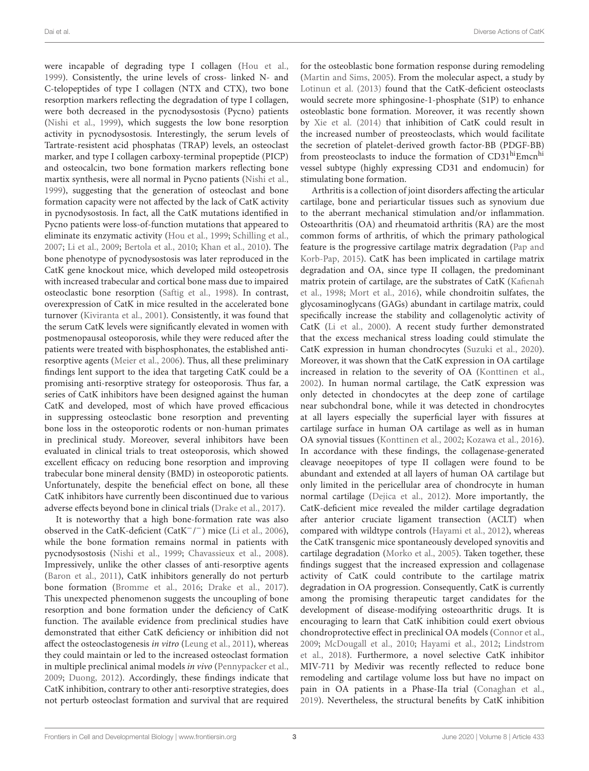were incapable of degrading type I collagen (Hou et al., 1999). Consistently, the urine levels of cross- linked N- and C-telopeptides of type I collagen (NTX and CTX), two bone resorption markers reflecting the degradation of type I collagen, were both decreased in the pycnodysostosis (Pycno) patients (Nishi et al., 1999), which suggests the low bone resorption activity in pycnodysostosis. Interestingly, the serum levels of Tartrate-resistent acid phosphatas (TRAP) levels, an osteoclast marker, and type I collagen carboxy-terminal propeptide (PICP) and osteocalcin, two bone formation markers reflecting bone martix synthesis, were all normal in Pycno patients (Nishi et al., 1999), suggesting that the generation of osteoclast and bone formation capacity were not affected by the lack of CatK activity in pycnodysostosis. In fact, all the CatK mutations identified in Pycno patients were loss-of-function mutations that appeared to eliminate its enzymatic activity (Hou et al., 1999; Schilling et al., 2007; Li et al., 2009; Bertola et al., 2010; Khan et al., 2010). The bone phenotype of pycnodysostosis was later reproduced in the CatK gene knockout mice, which developed mild osteopetrosis with increased trabecular and cortical bone mass due to impaired osteoclastic bone resorption (Saftig et al., 1998). In contrast, overexpression of CatK in mice resulted in the accelerated bone turnover (Kiviranta et al., 2001). Consistently, it was found that the serum CatK levels were significantly elevated in women with postmenopausal osteoporosis, while they were reduced after the patients were treated with bisphosphonates, the established antiresorptive agents (Meier et al., 2006). Thus, all these preliminary findings lent support to the idea that targeting CatK could be a promising anti-resorptive strategy for osteoporosis. Thus far, a series of CatK inhibitors have been designed against the human CatK and developed, most of which have proved efficacious in suppressing osteoclastic bone resorption and preventing bone loss in the osteoporotic rodents or non-human primates in preclinical study. Moreover, several inhibitors have been evaluated in clinical trials to treat osteoporosis, which showed excellent efficacy on reducing bone resorption and improving trabecular bone mineral density (BMD) in osteoporotic patients. Unfortunately, despite the beneficial effect on bone, all these CatK inhibitors have currently been discontinued due to various adverse effects beyond bone in clinical trials (Drake et al., 2017).

It is noteworthy that a high bone-formation rate was also observed in the CatK-deficient (CatK−/ <sup>−</sup>) mice (Li et al., 2006), while the bone formation remains normal in patients with pycnodysostosis (Nishi et al., 1999; Chavassieux et al., 2008). Impressively, unlike the other classes of anti-resorptive agents (Baron et al., 2011), CatK inhibitors generally do not perturb bone formation (Bromme et al., 2016; Drake et al., 2017). This unexpected phenomenon suggests the uncoupling of bone resorption and bone formation under the deficiency of CatK function. The available evidence from preclinical studies have demonstrated that either CatK deficiency or inhibition did not affect the osteoclastogenesis in vitro (Leung et al., 2011), whereas they could maintain or led to the increased osteoclast formation in multiple preclinical animal models in vivo (Pennypacker et al., 2009; Duong, 2012). Accordingly, these findings indicate that CatK inhibition, contrary to other anti-resorptive strategies, does not perturb osteoclast formation and survival that are required

for the osteoblastic bone formation response during remodeling (Martin and Sims, 2005). From the molecular aspect, a study by Lotinun et al. (2013) found that the CatK-deficient osteoclasts would secrete more sphingosine-1-phosphate (S1P) to enhance osteoblastic bone formation. Moreover, it was recently shown by Xie et al. (2014) that inhibition of CatK could result in the increased number of preosteoclasts, which would facilitate the secretion of platelet-derived growth factor-BB (PDGF-BB) from preosteoclasts to induce the formation of CD31<sup>hi</sup>Emcn<sup>hi</sup> vessel subtype (highly expressing CD31 and endomucin) for stimulating bone formation.

Arthritis is a collection of joint disorders affecting the articular cartilage, bone and periarticular tissues such as synovium due to the aberrant mechanical stimulation and/or inflammation. Osteoarthritis (OA) and rheumatoid arthritis (RA) are the most common forms of arthritis, of which the primary pathological feature is the progressive cartilage matrix degradation (Pap and Korb-Pap, 2015). CatK has been implicated in cartilage matrix degradation and OA, since type II collagen, the predominant matrix protein of cartilage, are the substrates of CatK (Kafienah et al., 1998; Mort et al., 2016), while chondroitin sulfates, the glycosaminoglycans (GAGs) abundant in cartilage matrix, could specifically increase the stability and collagenolytic activity of CatK (Li et al., 2000). A recent study further demonstrated that the excess mechanical stress loading could stimulate the CatK expression in human chondrocytes (Suzuki et al., 2020). Moreover, it was shown that the CatK expression in OA cartilage increased in relation to the severity of OA (Konttinen et al., 2002). In human normal cartilage, the CatK expression was only detected in chondocytes at the deep zone of cartilage near subchondral bone, while it was detected in chondrocytes at all layers especially the superficial layer with fissures at cartilage surface in human OA cartilage as well as in human OA synovial tissues (Konttinen et al., 2002; Kozawa et al., 2016). In accordance with these findings, the collagenase-generated cleavage neoepitopes of type II collagen were found to be abundant and extended at all layers of human OA cartilage but only limited in the pericellular area of chondrocyte in human normal cartilage (Dejica et al., 2012). More importantly, the CatK-deficient mice revealed the milder cartilage degradation after anterior cruciate ligament transection (ACLT) when compared with wildtype controls (Hayami et al., 2012), whereas the CatK transgenic mice spontaneously developed synovitis and cartilage degradation (Morko et al., 2005). Taken together, these findings suggest that the increased expression and collagenase activity of CatK could contribute to the cartilage matrix degradation in OA progression. Consequently, CatK is currently among the promising therapeutic target candidates for the development of disease-modifying osteoarthritic drugs. It is encouraging to learn that CatK inhibition could exert obvious chondroprotective effect in preclinical OA models (Connor et al., 2009; McDougall et al., 2010; Hayami et al., 2012; Lindstrom et al., 2018). Furthermore, a novel selective CatK inhibitor MIV-711 by Medivir was recently reflected to reduce bone remodeling and cartilage volume loss but have no impact on pain in OA patients in a Phase-IIa trial (Conaghan et al., 2019). Nevertheless, the structural benefits by CatK inhibition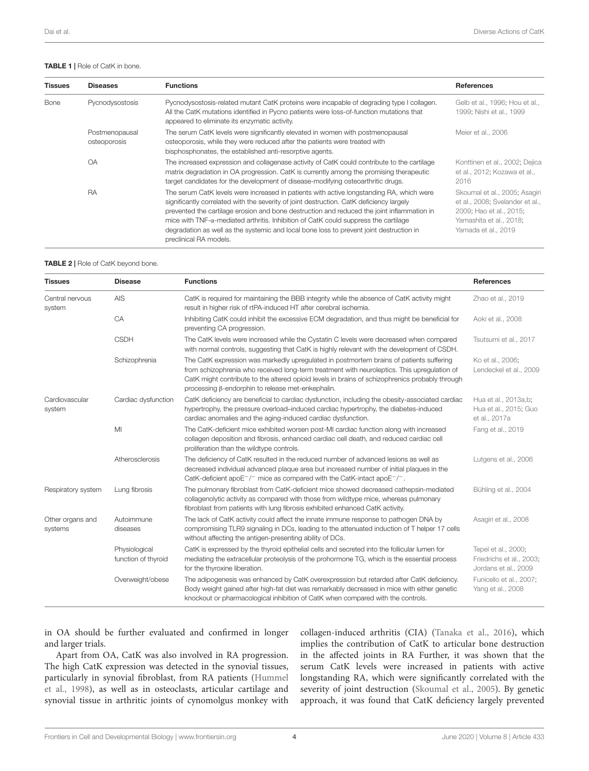#### TABLE 1 | Role of CatK in bone.

| <b>Tissues</b> | <b>Diseases</b>                | <b>Functions</b>                                                                                                                                                                                                                                                                                                                                                                                                                                                                                       | <b>References</b>                                                                                                                             |
|----------------|--------------------------------|--------------------------------------------------------------------------------------------------------------------------------------------------------------------------------------------------------------------------------------------------------------------------------------------------------------------------------------------------------------------------------------------------------------------------------------------------------------------------------------------------------|-----------------------------------------------------------------------------------------------------------------------------------------------|
| Bone           | Pycnodysostosis                | Pycnodysostosis-related mutant CatK proteins were incapable of degrading type I collagen.<br>All the CatK mutations identified in Pycno patients were loss-of-function mutations that<br>appeared to eliminate its enzymatic activity.                                                                                                                                                                                                                                                                 | Gelb et al., 1996; Hou et al.,<br>1999; Nishi et al., 1999                                                                                    |
|                | Postmenopausal<br>osteoporosis | The serum CatK levels were significantly elevated in women with postmenopausal<br>osteoporosis, while they were reduced after the patients were treated with<br>bisphosphonates, the established anti-resorptive agents.                                                                                                                                                                                                                                                                               | Meier et al., 2006                                                                                                                            |
|                | <b>OA</b>                      | The increased expression and collagenase activity of CatK could contribute to the cartilage<br>matrix degradation in OA progression. CatK is currently among the promising therapeutic<br>target candidates for the development of disease-modifying osteoarthritic drugs.                                                                                                                                                                                                                             | Konttinen et al., 2002; Dejica<br>et al., 2012; Kozawa et al.,<br>2016                                                                        |
|                | RA                             | The serum CatK levels were increased in patients with active longstanding RA, which were<br>significantly correlated with the severity of joint destruction. CatK deficiency largely<br>prevented the cartilage erosion and bone destruction and reduced the joint inflammation in<br>mice with $TNF-\alpha$ -mediated arthritis. Inhibition of CatK could suppress the cartilage<br>degradation as well as the systemic and local bone loss to prevent joint destruction in<br>preclinical RA models. | Skoumal et al., 2005; Asagiri<br>et al., 2008; Svelander et al.,<br>2009; Hao et al., 2015;<br>Yamashita et al., 2018;<br>Yamada et al., 2019 |

#### TABLE 2 | Role of CatK beyond bone.

| <b>Tissues</b>              | <b>Disease</b>                       | <b>Functions</b>                                                                                                                                                                                                                                                                                                                               | <b>References</b>                                                       |
|-----------------------------|--------------------------------------|------------------------------------------------------------------------------------------------------------------------------------------------------------------------------------------------------------------------------------------------------------------------------------------------------------------------------------------------|-------------------------------------------------------------------------|
| Central nervous<br>system   | AIS                                  | CatK is required for maintaining the BBB integrity while the absence of CatK activity might<br>result in higher risk of rtPA-induced HT after cerebral ischemia.                                                                                                                                                                               | Zhao et al., 2019                                                       |
|                             | CA                                   | Inhibiting CatK could inhibit the excessive ECM degradation, and thus might be beneficial for<br>preventing CA progression.                                                                                                                                                                                                                    | Aoki et al., 2008                                                       |
|                             | <b>CSDH</b>                          | The CatK levels were increased while the Cystatin C levels were decreased when compared<br>with normal controls, suggesting that CatK is highly relevant with the development of CSDH.                                                                                                                                                         | Tsutsumi et al., 2017                                                   |
|                             | Schizophrenia                        | The CatK expression was markedly upregulated in postmortem brains of patients suffering<br>from schizophrenia who received long-term treatment with neuroleptics. This upregulation of<br>CatK might contribute to the altered opioid levels in brains of schizophrenics probably through<br>processing β-endorphin to release met-enkephalin. | Ko et al., 2006;<br>Lendeckel et al., 2009                              |
| Cardiovascular<br>system    | Cardiac dysfunction                  | CatK deficiency are beneficial to cardiac dysfunction, including the obesity-associated cardiac<br>hypertrophy, the pressure overload-induced cardiac hypertrophy, the diabetes-induced<br>cardiac anomalies and the aging-induced cardiac dysfunction.                                                                                        | Hua et al., 2013a,b;<br>Hua et al., 2015; Guo<br>et al., 2017a          |
|                             | MI                                   | The CatK-deficient mice exhibited worsen post-MI cardiac function along with increased<br>collagen deposition and fibrosis, enhanced cardiac cell death, and reduced cardiac cell<br>proliferation than the wildtype controls.                                                                                                                 | Fang et al., 2019                                                       |
|                             | Atherosclerosis                      | The deficiency of CatK resulted in the reduced number of advanced lesions as well as<br>decreased individual advanced plaque area but increased number of initial plaques in the<br>CatK-deficient apoE $-/-$ mice as compared with the CatK-intact apoE $-/-$ .                                                                               | Lutgens et al., 2006                                                    |
| Respiratory system          | Lung fibrosis                        | The pulmonary fibroblast from CatK-deficient mice showed decreased cathepsin-mediated<br>collagenolytic activity as compared with those from wildtype mice, whereas pulmonary<br>fibroblast from patients with lung fibrosis exhibited enhanced CatK activity.                                                                                 | Bühling et al., 2004                                                    |
| Other organs and<br>systems | Autoimmune<br>diseases               | The lack of CatK activity could affect the innate immune response to pathogen DNA by<br>compromising TLR9 signaling in DCs, leading to the attenuated induction of T helper 17 cells<br>without affecting the antigen-presenting ability of DCs.                                                                                               | Asagiri et al., 2008                                                    |
|                             | Physiological<br>function of thyroid | CatK is expressed by the thyroid epithelial cells and secreted into the follicular lumen for<br>mediating the extracellular proteolysis of the prohormone TG, which is the essential process<br>for the thyroxine liberation.                                                                                                                  | Tepel et al., 2000;<br>Friedrichs et al., 2003;<br>Jordans et al., 2009 |
|                             | Overweight/obese                     | The adipogenesis was enhanced by CatK overexpression but retarded after CatK deficiency.<br>Body weight gained after high-fat diet was remarkably decreased in mice with either genetic<br>knockout or pharmacological inhibition of CatK when compared with the controls.                                                                     | Funicello et al., 2007;<br>Yang et al., 2008                            |

in OA should be further evaluated and confirmed in longer and larger trials.

Apart from OA, CatK was also involved in RA progression. The high CatK expression was detected in the synovial tissues, particularly in synovial fibroblast, from RA patients (Hummel et al., 1998), as well as in osteoclasts, articular cartilage and synovial tissue in arthritic joints of cynomolgus monkey with collagen-induced arthritis (CIA) (Tanaka et al., 2016), which implies the contribution of CatK to articular bone destruction in the affected joints in RA Further, it was shown that the serum CatK levels were increased in patients with active longstanding RA, which were significantly correlated with the severity of joint destruction (Skoumal et al., 2005). By genetic approach, it was found that CatK deficiency largely prevented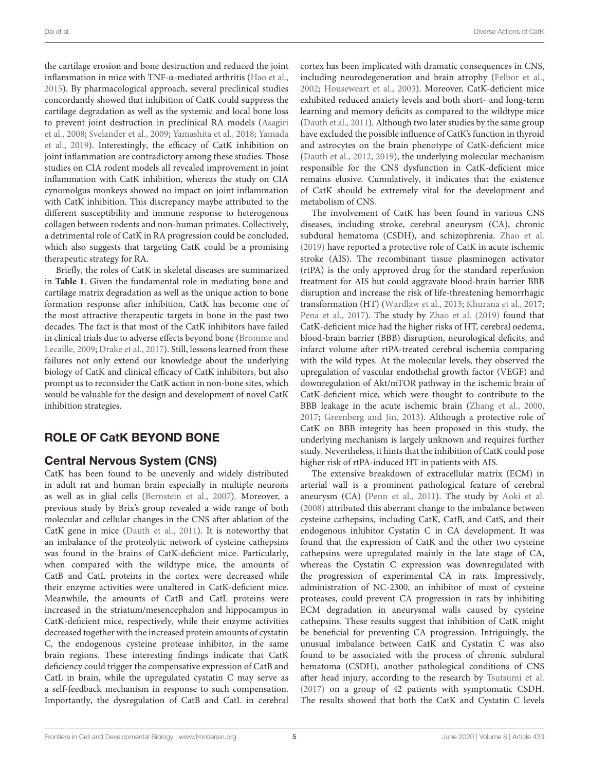the cartilage erosion and bone destruction and reduced the joint inflammation in mice with TNF-α-mediated arthritis (Hao et al., 2015). By pharmacological approach, several preclinical studies concordantly showed that inhibition of CatK could suppress the cartilage degradation as well as the systemic and local bone loss to prevent joint destruction in preclinical RA models (Asagiri et al., 2008; Svelander et al., 2009; Yamashita et al., 2018; Yamada et al., 2019). Interestingly, the efficacy of CatK inhibition on joint inflammation are contradictory among these studies. Those studies on CIA rodent models all revealed improvement in joint inflammation with CatK inhibition, whereas the study on CIA cynomolgus monkeys showed no impact on joint inflammation with CatK inhibition. This discrepancy maybe attributed to the different susceptibility and immune response to heterogenous collagen between rodents and non-human primates. Collectively, a detrimental role of CatK in RA progression could be concluded, which also suggests that targeting CatK could be a promising therapeutic strategy for RA.

Briefly, the roles of CatK in skeletal diseases are summarized in **Table 1**. Given the fundamental role in mediating bone and cartilage matrix degradation as well as the unique action to bone formation response after inhibition, CatK has become one of the most attractive therapeutic targets in bone in the past two decades. The fact is that most of the CatK inhibitors have failed in clinical trials due to adverse effects beyond bone (Bromme and Lecaille, 2009; Drake et al., 2017). Still, lessons learned from these failures not only extend our knowledge about the underlying biology of CatK and clinical efficacy of CatK inhibitors, but also prompt us to reconsider the CatK action in non-bone sites, which would be valuable for the design and development of novel CatK inhibition strategies.

## ROLE OF CatK BEYOND BONE

## Central Nervous System (CNS)

CatK has been found to be unevenly and widely distributed in adult rat and human brain especially in multiple neurons as well as in glial cells (Bernstein et al., 2007). Moreover, a previous study by Brix's group revealed a wide range of both molecular and cellular changes in the CNS after ablation of the CatK gene in mice (Dauth et al., 2011). It is noteworthy that an imbalance of the proteolytic network of cysteine cathepsins was found in the brains of CatK-deficient mice. Particularly, when compared with the wildtype mice, the amounts of CatB and CatL proteins in the cortex were decreased while their enzyme activities were unaltered in CatK-deficient mice. Meanwhile, the amounts of CatB and CatL proteins were increased in the striatum/mesencephalon and hippocampus in CatK-deficient mice, respectively, while their enzyme activities decreased together with the increased protein amounts of cystatin C, the endogenous cysteine protease inhibitor, in the same brain regions. These interesting findings indicate that CatK deficiency could trigger the compensative expression of CatB and CatL in brain, while the upregulated cystatin C may serve as a self-feedback mechanism in response to such compensation. Importantly, the dysregulation of CatB and CatL in cerebral

cortex has been implicated with dramatic consequences in CNS, including neurodegeneration and brain atrophy (Felbor et al., 2002; Houseweart et al., 2003). Moreover, CatK-deficient mice exhibited reduced anxiety levels and both short- and long-term learning and memory deficits as compared to the wildtype mice (Dauth et al., 2011). Although two later studies by the same group have excluded the possible influence of CatK's function in thyroid and astrocytes on the brain phenotype of CatK-deficient mice (Dauth et al., 2012, 2019), the underlying molecular mechanism responsible for the CNS dysfunction in CatK-deficient mice remains elusive. Cumulatively, it indicates that the existence of CatK should be extremely vital for the development and metabolism of CNS.

The involvement of CatK has been found in various CNS diseases, including stroke, cerebral aneurysm (CA), chronic subdural hematoma (CSDH), and schizophrenia. Zhao et al. (2019) have reported a protective role of CatK in acute ischemic stroke (AIS). The recombinant tissue plasminogen activator (rtPA) is the only approved drug for the standard reperfusion treatment for AIS but could aggravate blood-brain barrier BBB disruption and increase the risk of life-threatening hemorrhagic transformation (HT) (Wardlaw et al., 2013; Khurana et al., 2017; Pena et al., 2017). The study by Zhao et al. (2019) found that CatK-deficient mice had the higher risks of HT, cerebral oedema, blood-brain barrier (BBB) disruption, neurological deficits, and infarct volume after rtPA-treated cerebral ischemia comparing with the wild types. At the molecular levels, they observed the upregulation of vascular endothelial growth factor (VEGF) and downregulation of Akt/mTOR pathway in the ischemic brain of CatK-deficient mice, which were thought to contribute to the BBB leakage in the acute ischemic brain (Zhang et al., 2000, 2017; Greenberg and Jin, 2013). Although a protective role of CatK on BBB integrity has been proposed in this study, the underlying mechanism is largely unknown and requires further study. Nevertheless, it hints that the inhibition of CatK could pose higher risk of rtPA-induced HT in patients with AIS.

The extensive breakdown of extracellular matrix (ECM) in arterial wall is a prominent pathological feature of cerebral aneurysm (CA) (Penn et al., 2011). The study by Aoki et al. (2008) attributed this aberrant change to the imbalance between cysteine cathepsins, including CatK, CatB, and CatS, and their endogenous inhibitor Cystatin C in CA development. It was found that the expression of CatK and the other two cysteine cathepsins were upregulated mainly in the late stage of CA, whereas the Cystatin C expression was downregulated with the progression of experimental CA in rats. Impressively, administration of NC-2300, an inhibitor of most of cysteine proteases, could prevent CA progression in rats by inhibiting ECM degradation in aneurysmal walls caused by cysteine cathepsins. These results suggest that inhibition of CatK might be beneficial for preventing CA progression. Intriguingly, the unusual imbalance between CatK and Cystatin C was also found to be associated with the process of chronic subdural hematoma (CSDH), another pathological conditions of CNS after head injury, according to the research by Tsutsumi et al. (2017) on a group of 42 patients with symptomatic CSDH. The results showed that both the CatK and Cystatin C levels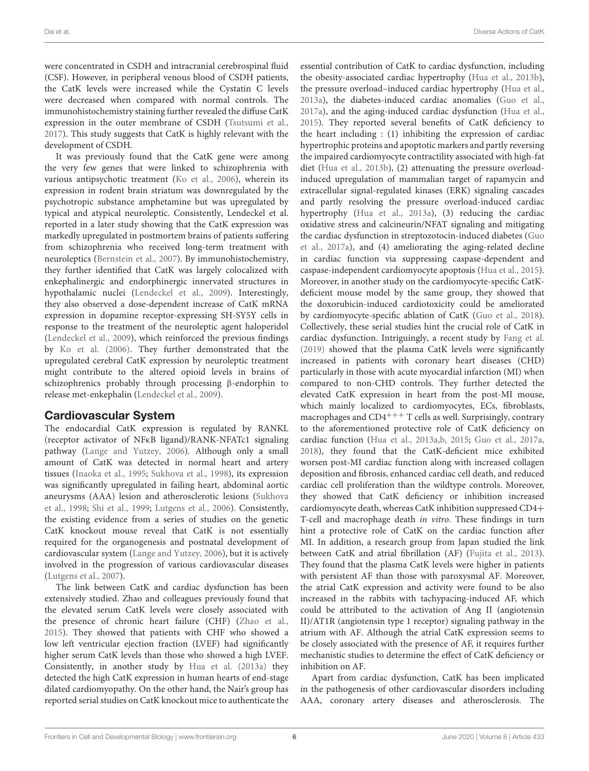were concentrated in CSDH and intracranial cerebrospinal fluid (CSF). However, in peripheral venous blood of CSDH patients, the CatK levels were increased while the Cystatin C levels were decreased when compared with normal controls. The immunohistochemistry staining further revealed the diffuse CatK expression in the outer membrane of CSDH (Tsutsumi et al., 2017). This study suggests that CatK is highly relevant with the development of CSDH.

It was previously found that the CatK gene were among the very few genes that were linked to schizophrenia with various antipsychotic treatment (Ko et al., 2006), wherein its expression in rodent brain striatum was downregulated by the psychotropic substance amphetamine but was upregulated by typical and atypical neuroleptic. Consistently, Lendeckel et al. reported in a later study showing that the CatK expression was markedly upregulated in postmortem brains of patients suffering from schizophrenia who received long-term treatment with neuroleptics (Bernstein et al., 2007). By immunohistochemistry, they further identified that CatK was largely colocalized with enkephalinergic and endorphinergic innervated structures in hypothalamic nuclei (Lendeckel et al., 2009). Interestingly, they also observed a dose-dependent increase of CatK mRNA expression in dopamine receptor-expressing SH-SY5Y cells in response to the treatment of the neuroleptic agent haloperidol (Lendeckel et al., 2009), which reinforced the previous findings by Ko et al. (2006). They further demonstrated that the upregulated cerebral CatK expression by neuroleptic treatment might contribute to the altered opioid levels in brains of schizophrenics probably through processing β-endorphin to release met-enkephalin (Lendeckel et al., 2009).

## Cardiovascular System

The endocardial CatK expression is regulated by RANKL (receptor activator of NFκB ligand)/RANK-NFATc1 signaling pathway (Lange and Yutzey, 2006). Although only a small amount of CatK was detected in normal heart and artery tissues (Inaoka et al., 1995; Sukhova et al., 1998), its expression was significantly upregulated in failing heart, abdominal aortic aneurysms (AAA) lesion and atherosclerotic lesions (Sukhova et al., 1998; Shi et al., 1999; Lutgens et al., 2006). Consistently, the existing evidence from a series of studies on the genetic CatK knockout mouse reveal that CatK is not essentially required for the organogenesis and postnatal development of cardiovascular system (Lange and Yutzey, 2006), but it is actively involved in the progression of various cardiovascular diseases (Lutgens et al., 2007).

The link between CatK and cardiac dysfunction has been extensively studied. Zhao and colleagues previously found that the elevated serum CatK levels were closely associated with the presence of chronic heart failure (CHF) (Zhao et al., 2015). They showed that patients with CHF who showed a low left ventricular ejection fraction (LVEF) had significantly higher serum CatK levels than those who showed a high LVEF. Consistently, in another study by Hua et al. (2013a) they detected the high CatK expression in human hearts of end-stage dilated cardiomyopathy. On the other hand, the Nair's group has reported serial studies on CatK knockout mice to authenticate the essential contribution of CatK to cardiac dysfunction, including the obesity-associated cardiac hypertrophy (Hua et al., 2013b), the pressure overload–induced cardiac hypertrophy (Hua et al., 2013a), the diabetes-induced cardiac anomalies (Guo et al., 2017a), and the aging-induced cardiac dysfunction (Hua et al., 2015). They reported several benefits of CatK deficiency to the heart including : (1) inhibiting the expression of cardiac hypertrophic proteins and apoptotic markers and partly reversing the impaired cardiomyocyte contractility associated with high-fat diet (Hua et al., 2013b), (2) attenuating the pressure overloadinduced upregulation of mammalian target of rapamycin and extracellular signal-regulated kinases (ERK) signaling cascades and partly resolving the pressure overload-induced cardiac hypertrophy (Hua et al., 2013a), (3) reducing the cardiac oxidative stress and calcineurin/NFAT signaling and mitigating the cardiac dysfunction in streptozotocin-induced diabetes (Guo et al., 2017a), and (4) ameliorating the aging-related decline in cardiac function via suppressing caspase-dependent and caspase-independent cardiomyocyte apoptosis (Hua et al., 2015). Moreover, in another study on the cardiomyocyte-specific CatKdeficient mouse model by the same group, they showed that the doxorubicin-induced cardiotoxicity could be ameliorated by cardiomyocyte-specific ablation of CatK (Guo et al., 2018). Collectively, these serial studies hint the crucial role of CatK in cardiac dysfunction. Intriguingly, a recent study by Fang et al. (2019) showed that the plasma CatK levels were significantly increased in patients with coronary heart diseases (CHD) particularly in those with acute myocardial infarction (MI) when compared to non-CHD controls. They further detected the elevated CatK expression in heart from the post-MI mouse, which mainly localized to cardiomyocytes, ECs, fibroblasts, macrophages and  $CD4^{+++}$  T cells as well. Surprisingly, contrary to the aforementioned protective role of CatK deficiency on cardiac function (Hua et al., 2013a,b, 2015; Guo et al., 2017a, 2018), they found that the CatK-deficient mice exhibited worsen post-MI cardiac function along with increased collagen deposition and fibrosis, enhanced cardiac cell death, and reduced cardiac cell proliferation than the wildtype controls. Moreover, they showed that CatK deficiency or inhibition increased cardiomyocyte death, whereas CatK inhibition suppressed CD4+ T-cell and macrophage death in vitro. These findings in turn hint a protective role of CatK on the cardiac function after MI. In addition, a research group from Japan studied the link between CatK and atrial fibrillation (AF) (Fujita et al., 2013). They found that the plasma CatK levels were higher in patients with persistent AF than those with paroxysmal AF. Moreover, the atrial CatK expression and activity were found to be also increased in the rabbits with tachypacing-induced AF, which could be attributed to the activation of Ang II (angiotensin II)/AT1R (angiotensin type 1 receptor) signaling pathway in the atrium with AF. Although the atrial CatK expression seems to be closely associated with the presence of AF, it requires further mechanistic studies to determine the effect of CatK deficiency or inhibition on AF.

Apart from cardiac dysfunction, CatK has been implicated in the pathogenesis of other cardiovascular disorders including AAA, coronary artery diseases and atherosclerosis. The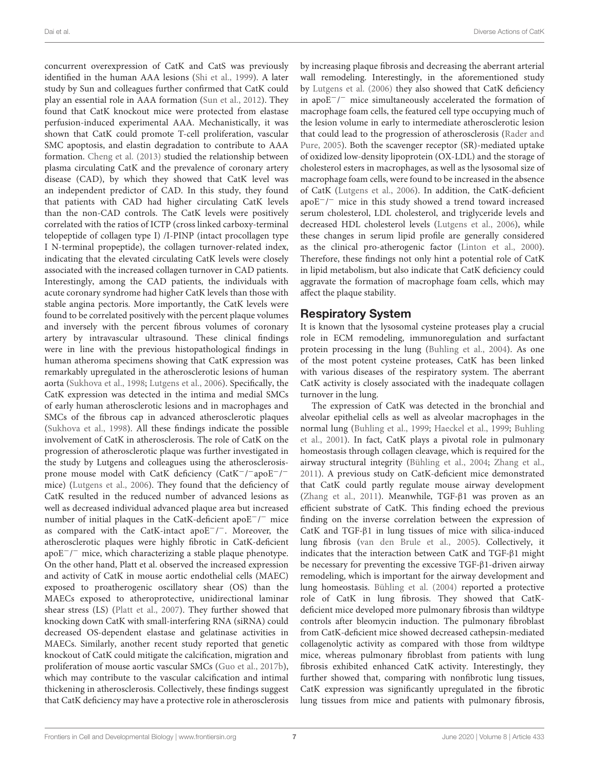concurrent overexpression of CatK and CatS was previously identified in the human AAA lesions (Shi et al., 1999). A later study by Sun and colleagues further confirmed that CatK could play an essential role in AAA formation (Sun et al., 2012). They found that CatK knockout mice were protected from elastase perfusion-induced experimental AAA. Mechanistically, it was shown that CatK could promote T-cell proliferation, vascular SMC apoptosis, and elastin degradation to contribute to AAA formation. Cheng et al. (2013) studied the relationship between plasma circulating CatK and the prevalence of coronary artery disease (CAD), by which they showed that CatK level was an independent predictor of CAD. In this study, they found that patients with CAD had higher circulating CatK levels than the non-CAD controls. The CatK levels were positively correlated with the ratios of ICTP (cross linked carboxy-terminal telopeptide of collagen type I) /I-PINP (intact procollagen type I N-terminal propeptide), the collagen turnover-related index, indicating that the elevated circulating CatK levels were closely associated with the increased collagen turnover in CAD patients. Interestingly, among the CAD patients, the individuals with acute coronary syndrome had higher CatK levels than those with stable angina pectoris. More importantly, the CatK levels were found to be correlated positively with the percent plaque volumes and inversely with the percent fibrous volumes of coronary artery by intravascular ultrasound. These clinical findings were in line with the previous histopathological findings in human atheroma specimens showing that CatK expression was remarkably upregulated in the atherosclerotic lesions of human aorta (Sukhova et al., 1998; Lutgens et al., 2006). Specifically, the CatK expression was detected in the intima and medial SMCs of early human atherosclerotic lesions and in macrophages and SMCs of the fibrous cap in advanced atherosclerotic plaques (Sukhova et al., 1998). All these findings indicate the possible involvement of CatK in atherosclerosis. The role of CatK on the progression of atherosclerotic plaque was further investigated in the study by Lutgens and colleagues using the atherosclerosisprone mouse model with CatK deficiency (CatK<sup>-/-</sup>apoE<sup>-/-</sup> mice) (Lutgens et al., 2006). They found that the deficiency of CatK resulted in the reduced number of advanced lesions as well as decreased individual advanced plaque area but increased number of initial plaques in the CatK-deficient apoE<sup>-/-</sup> mice as compared with the CatK-intact apoE<sup>-/-</sup>. Moreover, the atherosclerotic plaques were highly fibrotic in CatK-deficient apoE−/ <sup>−</sup> mice, which characterizing a stable plaque phenotype. On the other hand, Platt et al. observed the increased expression and activity of CatK in mouse aortic endothelial cells (MAEC) exposed to proatherogenic oscillatory shear (OS) than the MAECs exposed to atheroprotective, unidirectional laminar shear stress (LS) (Platt et al., 2007). They further showed that knocking down CatK with small-interfering RNA (siRNA) could decreased OS-dependent elastase and gelatinase activities in MAECs. Similarly, another recent study reported that genetic knockout of CatK could mitigate the calcification, migration and proliferation of mouse aortic vascular SMCs (Guo et al., 2017b), which may contribute to the vascular calcification and intimal thickening in atherosclerosis. Collectively, these findings suggest

by increasing plaque fibrosis and decreasing the aberrant arterial wall remodeling. Interestingly, in the aforementioned study by Lutgens et al. (2006) they also showed that CatK deficiency in apoE−/ <sup>−</sup> mice simultaneously accelerated the formation of macrophage foam cells, the featured cell type occupying much of the lesion volume in early to intermediate atherosclerotic lesion that could lead to the progression of atherosclerosis (Rader and Pure, 2005). Both the scavenger receptor (SR)-mediated uptake of oxidized low-density lipoprotein (OX-LDL) and the storage of cholesterol esters in macrophages, as well as the lysosomal size of macrophage foam cells, were found to be increased in the absence of CatK (Lutgens et al., 2006). In addition, the CatK-deficient apoE−/ <sup>−</sup> mice in this study showed a trend toward increased serum cholesterol, LDL cholesterol, and triglyceride levels and decreased HDL cholesterol levels (Lutgens et al., 2006), while these changes in serum lipid profile are generally considered as the clinical pro-atherogenic factor (Linton et al., 2000). Therefore, these findings not only hint a potential role of CatK in lipid metabolism, but also indicate that CatK deficiency could aggravate the formation of macrophage foam cells, which may affect the plaque stability.

## Respiratory System

It is known that the lysosomal cysteine proteases play a crucial role in ECM remodeling, immunoregulation and surfactant protein processing in the lung (Buhling et al., 2004). As one of the most potent cysteine proteases, CatK has been linked with various diseases of the respiratory system. The aberrant CatK activity is closely associated with the inadequate collagen turnover in the lung.

The expression of CatK was detected in the bronchial and alveolar epithelial cells as well as alveolar macrophages in the normal lung (Buhling et al., 1999; Haeckel et al., 1999; Buhling et al., 2001). In fact, CatK plays a pivotal role in pulmonary homeostasis through collagen cleavage, which is required for the airway structural integrity (Bühling et al., 2004; Zhang et al., 2011). A previous study on CatK-deficient mice demonstrated that CatK could partly regulate mouse airway development (Zhang et al., 2011). Meanwhile, TGF-β1 was proven as an efficient substrate of CatK. This finding echoed the previous finding on the inverse correlation between the expression of CatK and TGF-β1 in lung tissues of mice with silica-induced lung fibrosis (van den Brule et al., 2005). Collectively, it indicates that the interaction between CatK and TGF-β1 might be necessary for preventing the excessive TGF-β1-driven airway remodeling, which is important for the airway development and lung homeostasis. Bühling et al. (2004) reported a protective role of CatK in lung fibrosis. They showed that CatKdeficient mice developed more pulmonary fibrosis than wildtype controls after bleomycin induction. The pulmonary fibroblast from CatK-deficient mice showed decreased cathepsin-mediated collagenolytic activity as compared with those from wildtype mice, whereas pulmonary fibroblast from patients with lung fibrosis exhibited enhanced CatK activity. Interestingly, they further showed that, comparing with nonfibrotic lung tissues, CatK expression was significantly upregulated in the fibrotic lung tissues from mice and patients with pulmonary fibrosis,

that CatK deficiency may have a protective role in atherosclerosis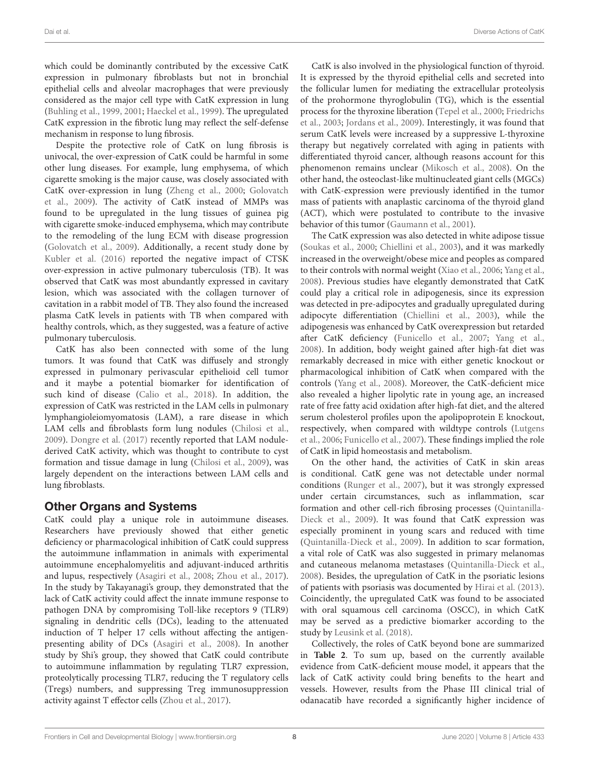which could be dominantly contributed by the excessive CatK expression in pulmonary fibroblasts but not in bronchial epithelial cells and alveolar macrophages that were previously considered as the major cell type with CatK expression in lung (Buhling et al., 1999, 2001; Haeckel et al., 1999). The upregulated CatK expression in the fibrotic lung may reflect the self-defense mechanism in response to lung fibrosis.

Despite the protective role of CatK on lung fibrosis is univocal, the over-expression of CatK could be harmful in some other lung diseases. For example, lung emphysema, of which cigarette smoking is the major cause, was closely associated with CatK over-expression in lung (Zheng et al., 2000; Golovatch et al., 2009). The activity of CatK instead of MMPs was found to be upregulated in the lung tissues of guinea pig with cigarette smoke-induced emphysema, which may contribute to the remodeling of the lung ECM with disease progression (Golovatch et al., 2009). Additionally, a recent study done by Kubler et al. (2016) reported the negative impact of CTSK over-expression in active pulmonary tuberculosis (TB). It was observed that CatK was most abundantly expressed in cavitary lesion, which was associated with the collagen turnover of cavitation in a rabbit model of TB. They also found the increased plasma CatK levels in patients with TB when compared with healthy controls, which, as they suggested, was a feature of active pulmonary tuberculosis.

CatK has also been connected with some of the lung tumors. It was found that CatK was diffusely and strongly expressed in pulmonary perivascular epithelioid cell tumor and it maybe a potential biomarker for identification of such kind of disease (Calio et al., 2018). In addition, the expression of CatK was restricted in the LAM cells in pulmonary lymphangioleiomyomatosis (LAM), a rare disease in which LAM cells and fibroblasts form lung nodules (Chilosi et al., 2009). Dongre et al. (2017) recently reported that LAM nodulederived CatK activity, which was thought to contribute to cyst formation and tissue damage in lung (Chilosi et al., 2009), was largely dependent on the interactions between LAM cells and lung fibroblasts.

## Other Organs and Systems

CatK could play a unique role in autoimmune diseases. Researchers have previously showed that either genetic deficiency or pharmacological inhibition of CatK could suppress the autoimmune inflammation in animals with experimental autoimmune encephalomyelitis and adjuvant-induced arthritis and lupus, respectively (Asagiri et al., 2008; Zhou et al., 2017). In the study by Takayanagi's group, they demonstrated that the lack of CatK activity could affect the innate immune response to pathogen DNA by compromising Toll-like receptors 9 (TLR9) signaling in dendritic cells (DCs), leading to the attenuated induction of T helper 17 cells without affecting the antigenpresenting ability of DCs (Asagiri et al., 2008). In another study by Shi's group, they showed that CatK could contribute to autoimmune inflammation by regulating TLR7 expression, proteolytically processing TLR7, reducing the T regulatory cells (Tregs) numbers, and suppressing Treg immunosuppression activity against T effector cells (Zhou et al., 2017).

CatK is also involved in the physiological function of thyroid. It is expressed by the thyroid epithelial cells and secreted into the follicular lumen for mediating the extracellular proteolysis of the prohormone thyroglobulin (TG), which is the essential process for the thyroxine liberation (Tepel et al., 2000; Friedrichs et al., 2003; Jordans et al., 2009). Interestingly, it was found that serum CatK levels were increased by a suppressive L-thyroxine therapy but negatively correlated with aging in patients with differentiated thyroid cancer, although reasons account for this phenomenon remains unclear (Mikosch et al., 2008). On the other hand, the osteoclast-like multinucleated giant cells (MGCs) with CatK-expression were previously identified in the tumor mass of patients with anaplastic carcinoma of the thyroid gland (ACT), which were postulated to contribute to the invasive behavior of this tumor (Gaumann et al., 2001).

The CatK expression was also detected in white adipose tissue (Soukas et al., 2000; Chiellini et al., 2003), and it was markedly increased in the overweight/obese mice and peoples as compared to their controls with normal weight (Xiao et al., 2006; Yang et al., 2008). Previous studies have elegantly demonstrated that CatK could play a critical role in adipogenesis, since its expression was detected in pre-adipocytes and gradually upregulated during adipocyte differentiation (Chiellini et al., 2003), while the adipogenesis was enhanced by CatK overexpression but retarded after CatK deficiency (Funicello et al., 2007; Yang et al., 2008). In addition, body weight gained after high-fat diet was remarkably decreased in mice with either genetic knockout or pharmacological inhibition of CatK when compared with the controls (Yang et al., 2008). Moreover, the CatK-deficient mice also revealed a higher lipolytic rate in young age, an increased rate of free fatty acid oxidation after high-fat diet, and the altered serum cholesterol profiles upon the apolipoprotein E knockout, respectively, when compared with wildtype controls (Lutgens et al., 2006; Funicello et al., 2007). These findings implied the role of CatK in lipid homeostasis and metabolism.

On the other hand, the activities of CatK in skin areas is conditional. CatK gene was not detectable under normal conditions (Runger et al., 2007), but it was strongly expressed under certain circumstances, such as inflammation, scar formation and other cell-rich fibrosing processes (Quintanilla-Dieck et al., 2009). It was found that CatK expression was especially prominent in young scars and reduced with time (Quintanilla-Dieck et al., 2009). In addition to scar formation, a vital role of CatK was also suggested in primary melanomas and cutaneous melanoma metastases (Quintanilla-Dieck et al., 2008). Besides, the upregulation of CatK in the psoriatic lesions of patients with psoriasis was documented by Hirai et al. (2013). Coincidently, the upregulated CatK was found to be associated with oral squamous cell carcinoma (OSCC), in which CatK may be served as a predictive biomarker according to the study by Leusink et al. (2018).

Collectively, the roles of CatK beyond bone are summarized in **Table 2**. To sum up, based on the currently available evidence from CatK-deficient mouse model, it appears that the lack of CatK activity could bring benefits to the heart and vessels. However, results from the Phase III clinical trial of odanacatib have recorded a significantly higher incidence of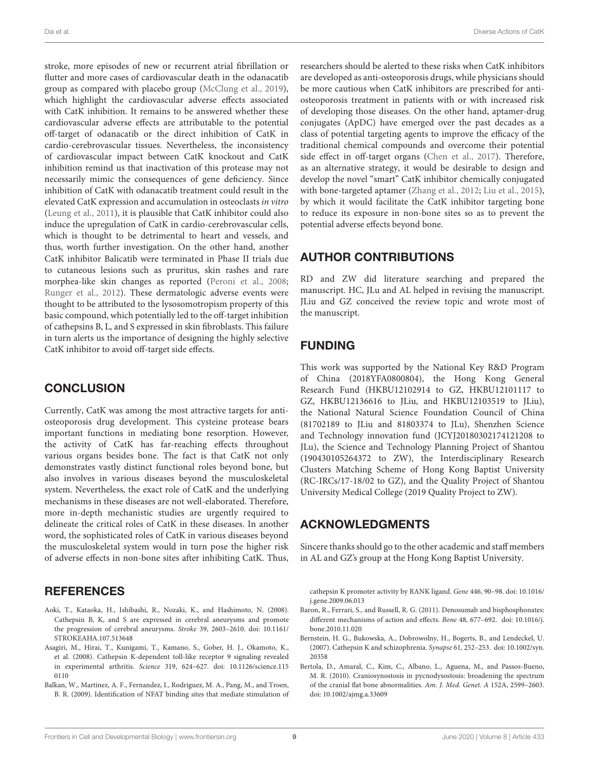Dai et al. Diverse Actions of CatK

stroke, more episodes of new or recurrent atrial fibrillation or flutter and more cases of cardiovascular death in the odanacatib group as compared with placebo group (McClung et al., 2019), which highlight the cardiovascular adverse effects associated with CatK inhibition. It remains to be answered whether these cardiovascular adverse effects are attributable to the potential off-target of odanacatib or the direct inhibition of CatK in cardio-cerebrovascular tissues. Nevertheless, the inconsistency of cardiovascular impact between CatK knockout and CatK inhibition remind us that inactivation of this protease may not necessarily mimic the consequences of gene deficiency. Since inhibition of CatK with odanacatib treatment could result in the elevated CatK expression and accumulation in osteoclasts in vitro (Leung et al., 2011), it is plausible that CatK inhibitor could also induce the upregulation of CatK in cardio-cerebrovascular cells, which is thought to be detrimental to heart and vessels, and thus, worth further investigation. On the other hand, another CatK inhibitor Balicatib were terminated in Phase II trials due to cutaneous lesions such as pruritus, skin rashes and rare morphea-like skin changes as reported (Peroni et al., 2008; Runger et al., 2012). These dermatologic adverse events were thought to be attributed to the lysosomotropism property of this basic compound, which potentially led to the off-target inhibition of cathepsins B, L, and S expressed in skin fibroblasts. This failure in turn alerts us the importance of designing the highly selective CatK inhibitor to avoid off-target side effects.

## **CONCLUSION**

Currently, CatK was among the most attractive targets for antiosteoporosis drug development. This cysteine protease bears important functions in mediating bone resorption. However, the activity of CatK has far-reaching effects throughout various organs besides bone. The fact is that CatK not only demonstrates vastly distinct functional roles beyond bone, but also involves in various diseases beyond the musculoskeletal system. Nevertheless, the exact role of CatK and the underlying mechanisms in these diseases are not well-elaborated. Therefore, more in-depth mechanistic studies are urgently required to delineate the critical roles of CatK in these diseases. In another word, the sophisticated roles of CatK in various diseases beyond the musculoskeletal system would in turn pose the higher risk of adverse effects in non-bone sites after inhibiting CatK. Thus,

## REFERENCES

- Aoki, T., Kataoka, H., Ishibashi, R., Nozaki, K., and Hashimoto, N. (2008). Cathepsin B, K, and S are expressed in cerebral aneurysms and promote the progression of cerebral aneurysms. Stroke 39, 2603–2610. [doi: 10.1161/](https://doi.org/10.1161/STROKEAHA.107.513648) [STROKEAHA.107.513648](https://doi.org/10.1161/STROKEAHA.107.513648)
- Asagiri, M., Hirai, T., Kunigami, T., Kamano, S., Gober, H. J., Okamoto, K., et al. (2008). Cathepsin K-dependent toll-like receptor 9 signaling revealed in experimental arthritis. Science 319, 624–627. [doi: 10.1126/science.115](https://doi.org/10.1126/science.1150110) [0110](https://doi.org/10.1126/science.1150110)
- Balkan, W., Martinez, A. F., Fernandez, I., Rodriguez, M. A., Pang, M., and Troen, B. R. (2009). Identification of NFAT binding sites that mediate stimulation of

researchers should be alerted to these risks when CatK inhibitors are developed as anti-osteoporosis drugs, while physicians should be more cautious when CatK inhibitors are prescribed for antiosteoporosis treatment in patients with or with increased risk of developing those diseases. On the other hand, aptamer-drug conjugates (ApDC) have emerged over the past decades as a class of potential targeting agents to improve the efficacy of the traditional chemical compounds and overcome their potential side effect in off-target organs (Chen et al., 2017). Therefore, as an alternative strategy, it would be desirable to design and develop the novel "smart" CatK inhibitor chemically conjugated with bone-targeted aptamer (Zhang et al., 2012; Liu et al., 2015), by which it would facilitate the CatK inhibitor targeting bone to reduce its exposure in non-bone sites so as to prevent the potential adverse effects beyond bone.

## AUTHOR CONTRIBUTIONS

RD and ZW did literature searching and prepared the manuscript. HC, JLu and AL helped in revising the manuscript. JLiu and GZ conceived the review topic and wrote most of the manuscript.

## FUNDING

This work was supported by the National Key R&D Program of China (2018YFA0800804), the Hong Kong General Research Fund (HKBU12102914 to GZ, HKBU12101117 to GZ, HKBU12136616 to JLiu, and HKBU12103519 to JLiu), the National Natural Science Foundation Council of China (81702189 to JLiu and 81803374 to JLu), Shenzhen Science and Technology innovation fund (JCYJ20180302174121208 to JLu), the Science and Technology Planning Project of Shantou (190430105264372 to ZW), the Interdisciplinary Research Clusters Matching Scheme of Hong Kong Baptist University (RC-IRCs/17-18/02 to GZ), and the Quality Project of Shantou University Medical College (2019 Quality Project to ZW).

## ACKNOWLEDGMENTS

Sincere thanks should go to the other academic and staff members in AL and GZ's group at the Hong Kong Baptist University.

cathepsin K promoter activity by RANK ligand. Gene 446, 90–98. [doi: 10.1016/](https://doi.org/10.1016/j.gene.2009.06.013) [j.gene.2009.06.013](https://doi.org/10.1016/j.gene.2009.06.013)

- Baron, R., Ferrari, S., and Russell, R. G. (2011). Denosumab and bisphosphonates: different mechanisms of action and effects. Bone 48, 677–692. [doi: 10.1016/j.](https://doi.org/10.1016/j.bone.2010.11.020) [bone.2010.11.020](https://doi.org/10.1016/j.bone.2010.11.020)
- Bernstein, H. G., Bukowska, A., Dobrowolny, H., Bogerts, B., and Lendeckel, U. (2007). Cathepsin K and schizophrenia. Synapse 61, 252–253. [doi: 10.1002/syn.](https://doi.org/10.1002/syn.20358) [20358](https://doi.org/10.1002/syn.20358)
- Bertola, D., Amaral, C., Kim, C., Albano, L., Aguena, M., and Passos-Bueno, M. R. (2010). Craniosynostosis in pycnodysostosis: broadening the spectrum of the cranial flat bone abnormalities. Am. J. Med. Genet. A 152A, 2599–2603. [doi: 10.1002/ajmg.a.33609](https://doi.org/10.1002/ajmg.a.33609)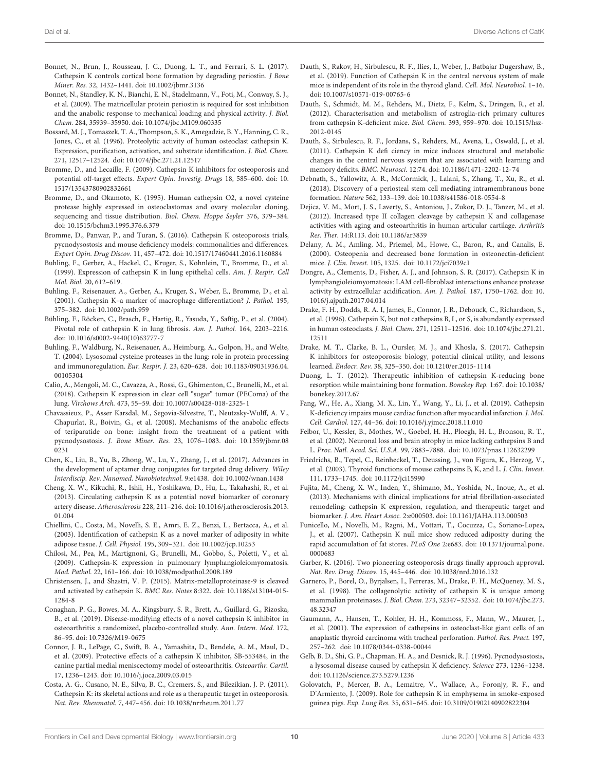- Bonnet, N., Brun, J., Rousseau, J. C., Duong, L. T., and Ferrari, S. L. (2017). Cathepsin K controls cortical bone formation by degrading periostin. J Bone Miner. Res. 32, 1432–1441. [doi: 10.1002/jbmr.3136](https://doi.org/10.1002/jbmr.3136)
- Bonnet, N., Standley, K. N., Bianchi, E. N., Stadelmann, V., Foti, M., Conway, S. J., et al. (2009). The matricellular protein periostin is required for sost inhibition and the anabolic response to mechanical loading and physical activity. J. Biol. Chem. 284, 35939–35950. [doi: 10.1074/jbc.M109.060335](https://doi.org/10.1074/jbc.M109.060335)
- Bossard, M. J., Tomaszek, T. A., Thompson, S. K., Amegadzie, B. Y., Hanning, C. R., Jones, C., et al. (1996). Proteolytic activity of human osteoclast cathepsin K. Expression, purification, activation, and substrate identification. J. Biol. Chem. 271, 12517–12524. [doi: 10.1074/jbc.271.21.12517](https://doi.org/10.1074/jbc.271.21.12517)
- Bromme, D., and Lecaille, F. (2009). Cathepsin K inhibitors for osteoporosis and potential off-target effects. Expert Opin. Investig. Drugs 18, 585–600. [doi: 10.](https://doi.org/10.1517/13543780902832661) [1517/13543780902832661](https://doi.org/10.1517/13543780902832661)
- Bromme, D., and Okamoto, K. (1995). Human cathepsin O2, a novel cysteine protease highly expressed in osteoclastomas and ovary molecular cloning, sequencing and tissue distribution. Biol. Chem. Hoppe Seyler 376, 379–384. [doi: 10.1515/bchm3.1995.376.6.379](https://doi.org/10.1515/bchm3.1995.376.6.379)
- Bromme, D., Panwar, P., and Turan, S. (2016). Cathepsin K osteoporosis trials, pycnodysostosis and mouse deficiency models: commonalities and differences. Expert Opin. Drug Discov. 11, 457–472. [doi: 10.1517/17460441.2016.1160884](https://doi.org/10.1517/17460441.2016.1160884)
- Buhling, F., Gerber, A., Hackel, C., Kruger, S., Kohnlein, T., Bromme, D., et al. (1999). Expression of cathepsin K in lung epithelial cells. Am. J. Respir. Cell Mol. Biol. 20, 612–619.
- Buhling, F., Reisenauer, A., Gerber, A., Kruger, S., Weber, E., Bromme, D., et al. (2001). Cathepsin K–a marker of macrophage differentiation? J. Pathol. 195, 375–382. [doi: 10.1002/path.959](https://doi.org/10.1002/path.959)
- Bühling, F., Röcken, C., Brasch, F., Hartig, R., Yasuda, Y., Saftig, P., et al. (2004). Pivotal role of cathepsin K in lung fibrosis. Am. J. Pathol. 164, 2203–2216. [doi: 10.1016/s0002-9440\(10\)63777-7](https://doi.org/10.1016/s0002-9440(10)63777-7)
- Buhling, F., Waldburg, N., Reisenauer, A., Heimburg, A., Golpon, H., and Welte, T. (2004). Lysosomal cysteine proteases in the lung: role in protein processing and immunoregulation. Eur. Respir. J. 23, 620–628. [doi: 10.1183/09031936.04.](https://doi.org/10.1183/09031936.04.00105304) [00105304](https://doi.org/10.1183/09031936.04.00105304)
- Calio, A., Mengoli, M. C., Cavazza, A., Rossi, G., Ghimenton, C., Brunelli, M., et al. (2018). Cathepsin K expression in clear cell "sugar" tumor (PEComa) of the lung. Virchows Arch. 473, 55–59. [doi: 10.1007/s00428-018-2325-1](https://doi.org/10.1007/s00428-018-2325-1)
- Chavassieux, P., Asser Karsdal, M., Segovia-Silvestre, T., Neutzsky-Wulff, A. V., Chapurlat, R., Boivin, G., et al. (2008). Mechanisms of the anabolic effects of teriparatide on bone: insight from the treatment of a patient with pycnodysostosis. J. Bone Miner. Res. 23, 1076–1083. [doi: 10.1359/jbmr.08](https://doi.org/10.1359/jbmr.080231) [0231](https://doi.org/10.1359/jbmr.080231)
- Chen, K., Liu, B., Yu, B., Zhong, W., Lu, Y., Zhang, J., et al. (2017). Advances in the development of aptamer drug conjugates for targeted drug delivery. Wiley Interdiscip. Rev. Nanomed. Nanobiotechnol. 9:e1438. [doi: 10.1002/wnan.1438](https://doi.org/10.1002/wnan.1438)
- Cheng, X. W., Kikuchi, R., Ishii, H., Yoshikawa, D., Hu, L., Takahashi, R., et al. (2013). Circulating cathepsin K as a potential novel biomarker of coronary artery disease. Atherosclerosis 228, 211–216. [doi: 10.1016/j.atherosclerosis.2013.](https://doi.org/10.1016/j.atherosclerosis.2013.01.004) [01.004](https://doi.org/10.1016/j.atherosclerosis.2013.01.004)
- Chiellini, C., Costa, M., Novelli, S. E., Amri, E. Z., Benzi, L., Bertacca, A., et al. (2003). Identification of cathepsin K as a novel marker of adiposity in white adipose tissue. J. Cell. Physiol. 195, 309–321. [doi: 10.1002/jcp.10253](https://doi.org/10.1002/jcp.10253)
- Chilosi, M., Pea, M., Martignoni, G., Brunelli, M., Gobbo, S., Poletti, V., et al. (2009). Cathepsin-K expression in pulmonary lymphangioleiomyomatosis. Mod. Pathol. 22, 161–166. [doi: 10.1038/modpathol.2008.189](https://doi.org/10.1038/modpathol.2008.189)
- Christensen, J., and Shastri, V. P. (2015). Matrix-metalloproteinase-9 is cleaved and activated by cathepsin K. BMC Res. Notes 8:322. [doi: 10.1186/s13104-015-](https://doi.org/10.1186/s13104-015-1284-8) [1284-8](https://doi.org/10.1186/s13104-015-1284-8)
- Conaghan, P. G., Bowes, M. A., Kingsbury, S. R., Brett, A., Guillard, G., Rizoska, B., et al. (2019). Disease-modifying effects of a novel cathepsin K inhibitor in osteoarthritis: a randomized, placebo-controlled study. Ann. Intern. Med. 172, 86–95. [doi: 10.7326/M19-0675](https://doi.org/10.7326/M19-0675)
- Connor, J. R., LePage, C., Swift, B. A., Yamashita, D., Bendele, A. M., Maul, D., et al. (2009). Protective effects of a cathepsin K inhibitor, SB-553484, in the canine partial medial meniscectomy model of osteoarthritis. Osteoarthr. Cartil. 17, 1236–1243. [doi: 10.1016/j.joca.2009.03.015](https://doi.org/10.1016/j.joca.2009.03.015)
- Costa, A. G., Cusano, N. E., Silva, B. C., Cremers, S., and Bilezikian, J. P. (2011). Cathepsin K: its skeletal actions and role as a therapeutic target in osteoporosis. Nat. Rev. Rheumatol. 7, 447–456. [doi: 10.1038/nrrheum.2011.77](https://doi.org/10.1038/nrrheum.2011.77)
- Dauth, S., Rakov, H., Sirbulescu, R. F., Ilies, I., Weber, J., Batbajar Dugershaw, B., et al. (2019). Function of Cathepsin K in the central nervous system of male mice is independent of its role in the thyroid gland. Cell. Mol. Neurobiol. 1–16. [doi: 10.1007/s10571-019-00765-6](https://doi.org/10.1007/s10571-019-00765-6)
- Dauth, S., Schmidt, M. M., Rehders, M., Dietz, F., Kelm, S., Dringen, R., et al. (2012). Characterisation and metabolism of astroglia-rich primary cultures from cathepsin K-deficient mice. Biol. Chem. 393, 959–970. [doi: 10.1515/hsz-](https://doi.org/10.1515/hsz-2012-0145)[2012-0145](https://doi.org/10.1515/hsz-2012-0145)
- Dauth, S., Sirbulescu, R. F., Jordans, S., Rehders, M., Avena, L., Oswald, J., et al. (2011). Cathepsin K defi ciency in mice induces structural and metabolic changes in the central nervous system that are associated with learning and memory deficits. BMC. Neurosci. 12:74. [doi: 10.1186/1471-2202-12-74](https://doi.org/10.1186/1471-2202-12-74)
- Debnath, S., Yallowitz, A. R., McCormick, J., Lalani, S., Zhang, T., Xu, R., et al. (2018). Discovery of a periosteal stem cell mediating intramembranous bone formation. Nature 562, 133–139. [doi: 10.1038/s41586-018-0554-8](https://doi.org/10.1038/s41586-018-0554-8)
- Dejica, V. M., Mort, J. S., Laverty, S., Antoniou, J., Zukor, D. J., Tanzer, M., et al. (2012). Increased type II collagen cleavage by cathepsin K and collagenase activities with aging and osteoarthritis in human articular cartilage. Arthritis Res. Ther. 14:R113. [doi: 10.1186/ar3839](https://doi.org/10.1186/ar3839)
- Delany, A. M., Amling, M., Priemel, M., Howe, C., Baron, R., and Canalis, E. (2000). Osteopenia and decreased bone formation in osteonectin-deficient mice. J. Clin. Invest. 105, 1325. [doi: 10.1172/jci7039c1](https://doi.org/10.1172/jci7039c1)
- Dongre, A., Clements, D., Fisher, A. J., and Johnson, S. R. (2017). Cathepsin K in lymphangioleiomyomatosis: LAM cell-fibroblast interactions enhance protease activity by extracellular acidification. Am. J. Pathol. 187, 1750–1762. [doi: 10.](https://doi.org/10.1016/j.ajpath.2017.04.014) [1016/j.ajpath.2017.04.014](https://doi.org/10.1016/j.ajpath.2017.04.014)
- Drake, F. H., Dodds, R. A. I, James, E., Connor, J. R., Debouck, C., Richardson, S., et al. (1996). Cathepsin K, but not cathepsins B, L, or S, is abundantly expressed in human osteoclasts. J. Biol. Chem. 271, 12511–12516. [doi: 10.1074/jbc.271.21.](https://doi.org/10.1074/jbc.271.21.12511) [12511](https://doi.org/10.1074/jbc.271.21.12511)
- Drake, M. T., Clarke, B. L., Oursler, M. J., and Khosla, S. (2017). Cathepsin K inhibitors for osteoporosis: biology, potential clinical utility, and lessons learned. Endocr. Rev. 38, 325–350. [doi: 10.1210/er.2015-1114](https://doi.org/10.1210/er.2015-1114)
- Duong, L. T. (2012). Therapeutic inhibition of cathepsin K-reducing bone resorption while maintaining bone formation. Bonekey Rep. 1:67. [doi: 10.1038/](https://doi.org/10.1038/bonekey.2012.67) [bonekey.2012.67](https://doi.org/10.1038/bonekey.2012.67)
- Fang, W., He, A., Xiang, M. X., Lin, Y., Wang, Y., Li, J., et al. (2019). Cathepsin K-deficiency impairs mouse cardiac function after myocardial infarction. J. Mol. Cell. Cardiol. 127, 44–56. [doi: 10.1016/j.yjmcc.2018.11.010](https://doi.org/10.1016/j.yjmcc.2018.11.010)
- Felbor, U., Kessler, B., Mothes, W., Goebel, H. H., Ploegh, H. L., Bronson, R. T., et al. (2002). Neuronal loss and brain atrophy in mice lacking cathepsins B and L. Proc. Natl. Acad. Sci. U.S.A. 99, 7883–7888. [doi: 10.1073/pnas.112632299](https://doi.org/10.1073/pnas.112632299)
- Friedrichs, B., Tepel, C., Reinheckel, T., Deussing, J., von Figura, K., Herzog, V., et al. (2003). Thyroid functions of mouse cathepsins B, K, and L. J. Clin. Invest. 111, 1733–1745. [doi: 10.1172/jci15990](https://doi.org/10.1172/jci15990)
- Fujita, M., Cheng, X. W., Inden, Y., Shimano, M., Yoshida, N., Inoue, A., et al. (2013). Mechanisms with clinical implications for atrial fibrillation-associated remodeling: cathepsin K expression, regulation, and therapeutic target and biomarker. J. Am. Heart Assoc. 2:e000503. [doi: 10.1161/JAHA.113.000503](https://doi.org/10.1161/JAHA.113.000503)
- Funicello, M., Novelli, M., Ragni, M., Vottari, T., Cocuzza, C., Soriano-Lopez, J., et al. (2007). Cathepsin K null mice show reduced adiposity during the rapid accumulation of fat stores. PLoS One 2:e683. [doi: 10.1371/journal.pone.](https://doi.org/10.1371/journal.pone.0000683) [0000683](https://doi.org/10.1371/journal.pone.0000683)
- Garber, K. (2016). Two pioneering osteoporosis drugs finally approach approval. Nat. Rev. Drug. Discov. 15, 445–446. [doi: 10.1038/nrd.2016.132](https://doi.org/10.1038/nrd.2016.132)
- Garnero, P., Borel, O., Byrjalsen, I., Ferreras, M., Drake, F. H., McQueney, M. S., et al. (1998). The collagenolytic activity of cathepsin K is unique among mammalian proteinases. J. Biol. Chem. 273, 32347–32352. [doi: 10.1074/jbc.273.](https://doi.org/10.1074/jbc.273.48.32347) [48.32347](https://doi.org/10.1074/jbc.273.48.32347)
- Gaumann, A., Hansen, T., Kohler, H. H., Kommoss, F., Mann, W., Maurer, J., et al. (2001). The expression of cathepsins in osteoclast-like giant cells of an anaplastic thyroid carcinoma with tracheal perforation. Pathol. Res. Pract. 197, 257–262. [doi: 10.1078/0344-0338-00044](https://doi.org/10.1078/0344-0338-00044)
- Gelb, B. D., Shi, G. P., Chapman, H. A., and Desnick, R. J. (1996). Pycnodysostosis, a lysosomal disease caused by cathepsin K deficiency. Science 273, 1236–1238. [doi: 10.1126/science.273.5279.1236](https://doi.org/10.1126/science.273.5279.1236)
- Golovatch, P., Mercer, B. A., Lemaitre, V., Wallace, A., Foronjy, R. F., and D'Armiento, J. (2009). Role for cathepsin K in emphysema in smoke-exposed guinea pigs. Exp. Lung Res. 35, 631–645. [doi: 10.3109/01902140902822304](https://doi.org/10.3109/01902140902822304)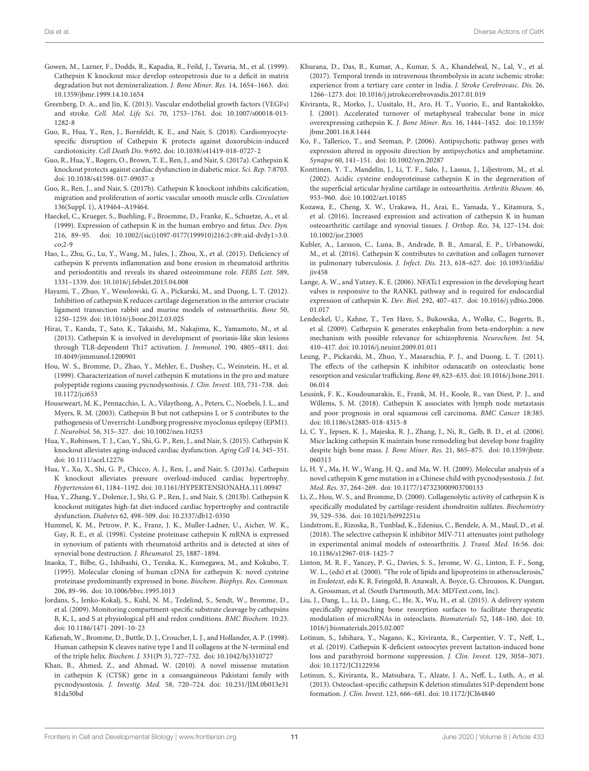- Gowen, M., Lazner, F., Dodds, R., Kapadia, R., Feild, J., Tavaria, M., et al. (1999). Cathepsin K knockout mice develop osteopetrosis due to a deficit in matrix degradation but not demineralization. J. Bone Miner. Res. 14, 1654–1663. [doi:](https://doi.org/10.1359/jbmr.1999.14.10.1654) [10.1359/jbmr.1999.14.10.1654](https://doi.org/10.1359/jbmr.1999.14.10.1654)
- Greenberg, D. A., and Jin, K. (2013). Vascular endothelial growth factors (VEGFs) and stroke. Cell. Mol. Life Sci. 70, 1753–1761. [doi: 10.1007/s00018-013-](https://doi.org/10.1007/s00018-013-1282-8) [1282-8](https://doi.org/10.1007/s00018-013-1282-8)
- Guo, R., Hua, Y., Ren, J., Bornfeldt, K. E., and Nair, S. (2018). Cardiomyocytespecific disruption of Cathepsin K protects against doxorubicin-induced cardiotoxicity. Cell Death Dis. 9:692. [doi: 10.1038/s41419-018-0727-2](https://doi.org/10.1038/s41419-018-0727-2)
- Guo, R., Hua, Y., Rogers, O., Brown, T. E., Ren, J., and Nair, S. (2017a). Cathepsin K knockout protects against cardiac dysfunction in diabetic mice. Sci. Rep. 7:8703. [doi: 10.1038/s41598-017-09037-z](https://doi.org/10.1038/s41598-017-09037-z)
- Guo, R., Ren, J., and Nair, S. (2017b). Cathepsin K knockout inhibits calcification, migration and proliferation of aortic vascular smooth muscle cells. Circulation 136(Suppl. 1), A19464–A19464.
- Haeckel, C., Krueger, S., Buehling, F., Broemme, D., Franke, K., Schuetze, A., et al. (1999). Expression of cathepsin K in the human embryo and fetus. Dev. Dyn. 216, 89–95. [doi: 10.1002/\(sici\)1097-0177\(199910\)216:2<89::aid-dvdy1>3.0.](https://doi.org/10.1002/(sici)1097-0177(199910)216:2<89::aid-dvdy1>3.0.co;2-9) [co;2-9](https://doi.org/10.1002/(sici)1097-0177(199910)216:2<89::aid-dvdy1>3.0.co;2-9)
- Hao, L., Zhu, G., Lu, Y., Wang, M., Jules, J., Zhou, X., et al. (2015). Deficiency of cathepsin K prevents inflammation and bone erosion in rheumatoid arthritis and periodontitis and reveals its shared osteoimmune role. FEBS Lett. 589, 1331–1339. [doi: 10.1016/j.febslet.2015.04.008](https://doi.org/10.1016/j.febslet.2015.04.008)
- Hayami, T., Zhuo, Y., Wesolowski, G. A., Pickarski, M., and Duong, L. T. (2012). Inhibition of cathepsin K reduces cartilage degeneration in the anterior cruciate ligament transection rabbit and murine models of osteoarthritis. Bone 50, 1250–1259. [doi: 10.1016/j.bone.2012.03.025](https://doi.org/10.1016/j.bone.2012.03.025)
- Hirai, T., Kanda, T., Sato, K., Takaishi, M., Nakajima, K., Yamamoto, M., et al. (2013). Cathepsin K is involved in development of psoriasis-like skin lesions through TLR-dependent Th17 activation. J. Immunol. 190, 4805–4811. [doi:](https://doi.org/10.4049/jimmunol.1200901) [10.4049/jimmunol.1200901](https://doi.org/10.4049/jimmunol.1200901)
- Hou, W. S., Bromme, D., Zhao, Y., Mehler, E., Dushey, C., Weinstein, H., et al. (1999). Characterization of novel cathepsin K mutations in the pro and mature polypeptide regions causing pycnodysostosis. J. Clin. Invest. 103, 731–738. [doi:](https://doi.org/10.1172/jci653) [10.1172/jci653](https://doi.org/10.1172/jci653)
- Houseweart, M. K., Pennacchio, L. A., Vilaythong, A., Peters, C., Noebels, J. L., and Myers, R. M. (2003). Cathepsin B but not cathepsins L or S contributes to the pathogenesis of Unverricht-Lundborg progressive myoclonus epilepsy (EPM1). J. Neurobiol. 56, 315–327. [doi: 10.1002/neu.10253](https://doi.org/10.1002/neu.10253)
- Hua, Y., Robinson, T. J., Cao, Y., Shi, G. P., Ren, J., and Nair, S. (2015). Cathepsin K knockout alleviates aging-induced cardiac dysfunction. Aging Cell 14, 345–351. [doi: 10.1111/acel.12276](https://doi.org/10.1111/acel.12276)
- Hua, Y., Xu, X., Shi, G. P., Chicco, A. J., Ren, J., and Nair, S. (2013a). Cathepsin K knockout alleviates pressure overload-induced cardiac hypertrophy. Hypertension 61, 1184–1192. [doi: 10.1161/HYPERTENSIONAHA.111.00947](https://doi.org/10.1161/HYPERTENSIONAHA.111.00947)
- Hua, Y., Zhang, Y., Dolence, J., Shi, G. P., Ren, J., and Nair, S. (2013b). Cathepsin K knockout mitigates high-fat diet-induced cardiac hypertrophy and contractile dysfunction. Diabetes 62, 498–509. [doi: 10.2337/db12-0350](https://doi.org/10.2337/db12-0350)
- Hummel, K. M., Petrow, P. K., Franz, J. K., Muller-Ladner, U., Aicher, W. K., Gay, R. E., et al. (1998). Cysteine proteinase cathepsin K mRNA is expressed in synovium of patients with rheumatoid arthritis and is detected at sites of synovial bone destruction. J. Rheumatol. 25, 1887–1894.
- Inaoka, T., Bilbe, G., Ishibashi, O., Tezuka, K., Kumegawa, M., and Kokubo, T. (1995). Molecular cloning of human cDNA for cathepsin K: novel cysteine proteinase predominantly expressed in bone. Biochem. Biophys. Res. Commun. 206, 89–96. [doi: 10.1006/bbrc.1995.1013](https://doi.org/10.1006/bbrc.1995.1013)
- Jordans, S., Jenko-Kokalj, S., Kuhl, N. M., Tedelind, S., Sendt, W., Bromme, D., et al. (2009). Monitoring compartment-specific substrate cleavage by cathepsins B, K, L, and S at physiological pH and redox conditions. BMC Biochem. 10:23. [doi: 10.1186/1471-2091-10-23](https://doi.org/10.1186/1471-2091-10-23)
- Kafienah, W., Bromme, D., Buttle, D. J., Croucher, L. J., and Hollander, A. P. (1998). Human cathepsin K cleaves native type I and II collagens at the N-terminal end of the triple helix. Biochem. J. 331(Pt 3), 727–732. [doi: 10.1042/bj3310727](https://doi.org/10.1042/bj3310727)
- Khan, B., Ahmed, Z., and Ahmad, W. (2010). A novel missense mutation in cathepsin K (CTSK) gene in a consanguineous Pakistani family with pycnodysostosis. J. Investig. Med. 58, 720–724. [doi: 10.231/JIM.0b013e31](https://doi.org/10.231/JIM.0b013e3181da50bd) [81da50bd](https://doi.org/10.231/JIM.0b013e3181da50bd)
- Khurana, D., Das, B., Kumar, A., Kumar, S. A., Khandelwal, N., Lal, V., et al. (2017). Temporal trends in intravenous thrombolysis in acute ischemic stroke: experience from a tertiary care center in India. J. Stroke Cerebrovasc. Dis. 26, 1266–1273. [doi: 10.1016/j.jstrokecerebrovasdis.2017.01.019](https://doi.org/10.1016/j.jstrokecerebrovasdis.2017.01.019)
- Kiviranta, R., Morko, J., Uusitalo, H., Aro, H. T., Vuorio, E., and Rantakokko, J. (2001). Accelerated turnover of metaphyseal trabecular bone in mice overexpressing cathepsin K. J. Bone Miner. Res. 16, 1444–1452. [doi: 10.1359/](https://doi.org/10.1359/jbmr.2001.16.8.1444) [jbmr.2001.16.8.1444](https://doi.org/10.1359/jbmr.2001.16.8.1444)
- Ko, F., Tallerico, T., and Seeman, P. (2006). Antipsychotic pathway genes with expression altered in opposite direction by antipsychotics and amphetamine. Synapse 60, 141–151. [doi: 10.1002/syn.20287](https://doi.org/10.1002/syn.20287)
- Konttinen, Y. T., Mandelin, J., Li, T. F., Salo, J., Lassus, J., Liljestrom, M., et al. (2002). Acidic cysteine endoproteinase cathepsin K in the degeneration of the superficial articular hyaline cartilage in osteoarthritis. Arthritis Rheum. 46, 953–960. [doi: 10.1002/art.10185](https://doi.org/10.1002/art.10185)
- Kozawa, E., Cheng, X. W., Urakawa, H., Arai, E., Yamada, Y., Kitamura, S., et al. (2016). Increased expression and activation of cathepsin K in human osteoarthritic cartilage and synovial tissues. J. Orthop. Res. 34, 127–134. [doi:](https://doi.org/10.1002/jor.23005) [10.1002/jor.23005](https://doi.org/10.1002/jor.23005)
- Kubler, A., Larsson, C., Luna, B., Andrade, B. B., Amaral, E. P., Urbanowski, M., et al. (2016). Cathepsin K contributes to cavitation and collagen turnover in pulmonary tuberculosis. J. Infect. Dis. 213, 618–627. [doi: 10.1093/infdis/](https://doi.org/10.1093/infdis/jiv458) [jiv458](https://doi.org/10.1093/infdis/jiv458)
- Lange, A. W., and Yutzey, K. E. (2006). NFATc1 expression in the developing heart valves is responsive to the RANKL pathway and is required for endocardial expression of cathepsin K. Dev. Biol. 292, 407–417. [doi: 10.1016/j.ydbio.2006.](https://doi.org/10.1016/j.ydbio.2006.01.017) [01.017](https://doi.org/10.1016/j.ydbio.2006.01.017)
- Lendeckel, U., Kahne, T., Ten Have, S., Bukowska, A., Wolke, C., Bogerts, B., et al. (2009). Cathepsin K generates enkephalin from beta-endorphin: a new mechanism with possible relevance for schizophrenia. Neurochem. Int. 54, 410–417. [doi: 10.1016/j.neuint.2009.01.011](https://doi.org/10.1016/j.neuint.2009.01.011)
- Leung, P., Pickarski, M., Zhuo, Y., Masarachia, P. J., and Duong, L. T. (2011). The effects of the cathepsin K inhibitor odanacatib on osteoclastic bone resorption and vesicular trafficking. Bone 49, 623–635. [doi: 10.1016/j.bone.2011.](https://doi.org/10.1016/j.bone.2011.06.014) [06.014](https://doi.org/10.1016/j.bone.2011.06.014)
- Leusink, F. K., Koudounarakis, E., Frank, M. H., Koole, R., van Diest, P. J., and Willems, S. M. (2018). Cathepsin K associates with lymph node metastasis and poor prognosis in oral squamous cell carcinoma. BMC Cancer 18:385. [doi: 10.1186/s12885-018-4315-8](https://doi.org/10.1186/s12885-018-4315-8)
- Li, C. Y., Jepsen, K. J., Majeska, R. J., Zhang, J., Ni, R., Gelb, B. D., et al. (2006). Mice lacking cathepsin K maintain bone remodeling but develop bone fragility despite high bone mass. J. Bone Miner. Res. 21, 865–875. [doi: 10.1359/jbmr.](https://doi.org/10.1359/jbmr.060313) [060313](https://doi.org/10.1359/jbmr.060313)
- Li, H. Y., Ma, H. W., Wang, H. Q., and Ma, W. H. (2009). Molecular analysis of a novel cathepsin K gene mutation in a Chinese child with pycnodysostosis. J. Int. Med. Res. 37, 264–269. [doi: 10.1177/147323000903700133](https://doi.org/10.1177/147323000903700133)
- Li, Z., Hou, W. S., and Bromme, D. (2000). Collagenolytic activity of cathepsin K is specifically modulated by cartilage-resident chondroitin sulfates. Biochemistry 39, 529–536. [doi: 10.1021/bi992251u](https://doi.org/10.1021/bi992251u)
- Lindstrom, E., Rizoska, B., Tunblad, K., Edenius, C., Bendele, A. M., Maul, D., et al. (2018). The selective cathepsin K inhibitor MIV-711 attenuates joint pathology in experimental animal models of osteoarthritis. J. Transl. Med. 16:56. [doi:](https://doi.org/10.1186/s12967-018-1425-7) [10.1186/s12967-018-1425-7](https://doi.org/10.1186/s12967-018-1425-7)
- Linton, M. R. F., Yancey, P. G., Davies, S. S., Jerome, W. G., Linton, E. F., Song, W. L., (eds) et al. (2000). "The role of lipids and lipoproteins in atherosclerosis," in Endotext, eds K. R. Feingold, B. Anawalt, A. Boyce, G. Chrousos, K. Dungan, A. Grossman, et al. (South Dartmouth, MA: MDText.com, Inc).
- Liu, J., Dang, L., Li, D., Liang, C., He, X., Wu, H., et al. (2015). A delivery system specifically approaching bone resorption surfaces to facilitate therapeutic modulation of microRNAs in osteoclasts. Biomaterials 52, 148–160. [doi: 10.](https://doi.org/10.1016/j.biomaterials.2015.02.007) [1016/j.biomaterials.2015.02.007](https://doi.org/10.1016/j.biomaterials.2015.02.007)
- Lotinun, S., Ishihara, Y., Nagano, K., Kiviranta, R., Carpentier, V. T., Neff, L., et al. (2019). Cathepsin K-deficient osteocytes prevent lactation-induced bone loss and parathyroid hormone suppression. J. Clin. Invest. 129, 3058–3071. [doi: 10.1172/JCI122936](https://doi.org/10.1172/JCI122936)
- Lotinun, S., Kiviranta, R., Matsubara, T., Alzate, J. A., Neff, L., Luth, A., et al. (2013). Osteoclast-specific cathepsin K deletion stimulates S1P-dependent bone formation. J. Clin. Invest. 123, 666–681. [doi: 10.1172/JCI64840](https://doi.org/10.1172/JCI64840)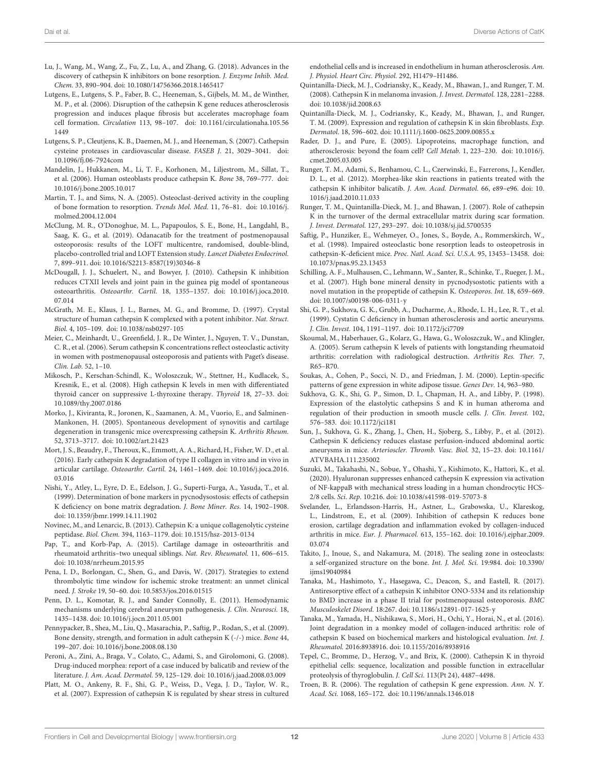- Lu, J., Wang, M., Wang, Z., Fu, Z., Lu, A., and Zhang, G. (2018). Advances in the discovery of cathepsin K inhibitors on bone resorption. J. Enzyme Inhib. Med. Chem. 33, 890–904. [doi: 10.1080/14756366.2018.1465417](https://doi.org/10.1080/14756366.2018.1465417)
- Lutgens, E., Lutgens, S. P., Faber, B. C., Heeneman, S., Gijbels, M. M., de Winther, M. P., et al. (2006). Disruption of the cathepsin K gene reduces atherosclerosis progression and induces plaque fibrosis but accelerates macrophage foam cell formation. Circulation 113, 98–107. [doi: 10.1161/circulationaha.105.56](https://doi.org/10.1161/circulationaha.105.561449) [1449](https://doi.org/10.1161/circulationaha.105.561449)
- Lutgens, S. P., Cleutjens, K. B., Daemen, M. J., and Heeneman, S. (2007). Cathepsin cysteine proteases in cardiovascular disease. FASEB J. 21, 3029–3041. [doi:](https://doi.org/10.1096/fj.06-7924com) [10.1096/fj.06-7924com](https://doi.org/10.1096/fj.06-7924com)
- Mandelin, J., Hukkanen, M., Li, T. F., Korhonen, M., Liljestrom, M., Sillat, T., et al. (2006). Human osteoblasts produce cathepsin K. Bone 38, 769–777. [doi:](https://doi.org/10.1016/j.bone.2005.10.017) [10.1016/j.bone.2005.10.017](https://doi.org/10.1016/j.bone.2005.10.017)
- Martin, T. J., and Sims, N. A. (2005). Osteoclast-derived activity in the coupling of bone formation to resorption. Trends Mol. Med. 11, 76–81. [doi: 10.1016/j.](https://doi.org/10.1016/j.molmed.2004.12.004) [molmed.2004.12.004](https://doi.org/10.1016/j.molmed.2004.12.004)
- McClung, M. R., O'Donoghue, M. L., Papapoulos, S. E., Bone, H., Langdahl, B., Saag, K. G., et al. (2019). Odanacatib for the treatment of postmenopausal osteoporosis: results of the LOFT multicentre, randomised, double-blind, placebo-controlled trial and LOFT Extension study. Lancet Diabetes Endocrinol. 7, 899–911. [doi: 10.1016/S2213-8587\(19\)30346-8](https://doi.org/10.1016/S2213-8587(19)30346-8)
- McDougall, J. J., Schuelert, N., and Bowyer, J. (2010). Cathepsin K inhibition reduces CTXII levels and joint pain in the guinea pig model of spontaneous osteoarthritis. Osteoarthr. Cartil. 18, 1355–1357. [doi: 10.1016/j.joca.2010.](https://doi.org/10.1016/j.joca.2010.07.014) [07.014](https://doi.org/10.1016/j.joca.2010.07.014)
- McGrath, M. E., Klaus, J. L., Barnes, M. G., and Bromme, D. (1997). Crystal structure of human cathepsin K complexed with a potent inhibitor. Nat. Struct. Biol. 4, 105–109. [doi: 10.1038/nsb0297-105](https://doi.org/10.1038/nsb0297-105)
- Meier, C., Meinhardt, U., Greenfield, J. R., De Winter, J., Nguyen, T. V., Dunstan, C. R., et al. (2006). Serum cathepsin K concentrations reflect osteoclastic activity in women with postmenopausal osteoporosis and patients with Paget's disease. Clin. Lab. 52, 1–10.
- Mikosch, P., Kerschan-Schindl, K., Woloszczuk, W., Stettner, H., Kudlacek, S., Kresnik, E., et al. (2008). High cathepsin K levels in men with differentiated thyroid cancer on suppressive L-thyroxine therapy. Thyroid 18, 27–33. [doi:](https://doi.org/10.1089/thy.2007.0186) [10.1089/thy.2007.0186](https://doi.org/10.1089/thy.2007.0186)
- Morko, J., Kiviranta, R., Joronen, K., Saamanen, A. M., Vuorio, E., and Salminen-Mankonen, H. (2005). Spontaneous development of synovitis and cartilage degeneration in transgenic mice overexpressing cathepsin K. Arthritis Rheum. 52, 3713–3717. [doi: 10.1002/art.21423](https://doi.org/10.1002/art.21423)
- Mort, J. S., Beaudry, F., Theroux, K., Emmott, A. A., Richard, H., Fisher, W. D., et al. (2016). Early cathepsin K degradation of type II collagen in vitro and in vivo in articular cartilage. Osteoarthr. Cartil. 24, 1461–1469. [doi: 10.1016/j.joca.2016.](https://doi.org/10.1016/j.joca.2016.03.016) [03.016](https://doi.org/10.1016/j.joca.2016.03.016)
- Nishi, Y., Atley, L., Eyre, D. E., Edelson, J. G., Superti-Furga, A., Yasuda, T., et al. (1999). Determination of bone markers in pycnodysostosis: effects of cathepsin K deficiency on bone matrix degradation. J. Bone Miner. Res. 14, 1902–1908. [doi: 10.1359/jbmr.1999.14.11.1902](https://doi.org/10.1359/jbmr.1999.14.11.1902)
- Novinec, M., and Lenarcic, B. (2013). Cathepsin K: a unique collagenolytic cysteine peptidase. Biol. Chem. 394, 1163–1179. [doi: 10.1515/hsz-2013-0134](https://doi.org/10.1515/hsz-2013-0134)
- Pap, T., and Korb-Pap, A. (2015). Cartilage damage in osteoarthritis and rheumatoid arthritis–two unequal siblings. Nat. Rev. Rheumatol. 11, 606–615. [doi: 10.1038/nrrheum.2015.95](https://doi.org/10.1038/nrrheum.2015.95)
- Pena, I. D., Borlongan, C., Shen, G., and Davis, W. (2017). Strategies to extend thrombolytic time window for ischemic stroke treatment: an unmet clinical need. J. Stroke 19, 50–60. [doi: 10.5853/jos.2016.01515](https://doi.org/10.5853/jos.2016.01515)
- Penn, D. L., Komotar, R. J., and Sander Connolly, E. (2011). Hemodynamic mechanisms underlying cerebral aneurysm pathogenesis. J. Clin. Neurosci. 18, 1435–1438. [doi: 10.1016/j.jocn.2011.05.001](https://doi.org/10.1016/j.jocn.2011.05.001)
- Pennypacker, B., Shea, M., Liu, Q., Masarachia, P., Saftig, P., Rodan, S., et al. (2009). Bone density, strength, and formation in adult cathepsin K (-/-) mice. Bone 44, 199–207. [doi: 10.1016/j.bone.2008.08.130](https://doi.org/10.1016/j.bone.2008.08.130)
- Peroni, A., Zini, A., Braga, V., Colato, C., Adami, S., and Girolomoni, G. (2008). Drug-induced morphea: report of a case induced by balicatib and review of the literature. J. Am. Acad. Dermatol. 59, 125–129. [doi: 10.1016/j.jaad.2008.03.009](https://doi.org/10.1016/j.jaad.2008.03.009)
- Platt, M. O., Ankeny, R. F., Shi, G. P., Weiss, D., Vega, J. D., Taylor, W. R., et al. (2007). Expression of cathepsin K is regulated by shear stress in cultured

endothelial cells and is increased in endothelium in human atherosclerosis. Am. J. Physiol. Heart Circ. Physiol. 292, H1479–H1486.

- Quintanilla-Dieck, M. J., Codriansky, K., Keady, M., Bhawan, J., and Runger, T. M. (2008). Cathepsin K in melanoma invasion. J. Invest. Dermatol. 128, 2281–2288. [doi: 10.1038/jid.2008.63](https://doi.org/10.1038/jid.2008.63)
- Quintanilla-Dieck, M. J., Codriansky, K., Keady, M., Bhawan, J., and Runger, T. M. (2009). Expression and regulation of cathepsin K in skin fibroblasts. Exp. Dermatol. 18, 596–602. [doi: 10.1111/j.1600-0625.2009.00855.x](https://doi.org/10.1111/j.1600-0625.2009.00855.x)
- Rader, D. J., and Pure, E. (2005). Lipoproteins, macrophage function, and atherosclerosis: beyond the foam cell? Cell Metab. 1, 223–230. [doi: 10.1016/j.](https://doi.org/10.1016/j.cmet.2005.03.005) [cmet.2005.03.005](https://doi.org/10.1016/j.cmet.2005.03.005)
- Runger, T. M., Adami, S., Benhamou, C. L., Czerwinski, E., Farrerons, J., Kendler, D. L., et al. (2012). Morphea-like skin reactions in patients treated with the cathepsin K inhibitor balicatib. J. Am. Acad. Dermatol. 66, e89–e96. [doi: 10.](https://doi.org/10.1016/j.jaad.2010.11.033) [1016/j.jaad.2010.11.033](https://doi.org/10.1016/j.jaad.2010.11.033)
- Runger, T. M., Quintanilla-Dieck, M. J., and Bhawan, J. (2007). Role of cathepsin K in the turnover of the dermal extracellular matrix during scar formation. J. Invest. Dermatol. 127, 293–297. [doi: 10.1038/sj.jid.5700535](https://doi.org/10.1038/sj.jid.5700535)
- Saftig, P., Hunziker, E., Wehmeyer, O., Jones, S., Boyde, A., Rommerskirch, W., et al. (1998). Impaired osteoclastic bone resorption leads to osteopetrosis in cathepsin-K-deficient mice. Proc. Natl. Acad. Sci. U.S.A. 95, 13453–13458. [doi:](https://doi.org/10.1073/pnas.95.23.13453) [10.1073/pnas.95.23.13453](https://doi.org/10.1073/pnas.95.23.13453)
- Schilling, A. F., Mulhausen, C., Lehmann, W., Santer, R., Schinke, T., Rueger, J. M., et al. (2007). High bone mineral density in pycnodysostotic patients with a novel mutation in the propeptide of cathepsin K. Osteoporos. Int. 18, 659–669. [doi: 10.1007/s00198-006-0311-y](https://doi.org/10.1007/s00198-006-0311-y)
- Shi, G. P., Sukhova, G. K., Grubb, A., Ducharme, A., Rhode, L. H., Lee, R. T., et al. (1999). Cystatin C deficiency in human atherosclerosis and aortic aneurysms. J. Clin. Invest. 104, 1191–1197. [doi: 10.1172/jci7709](https://doi.org/10.1172/jci7709)
- Skoumal, M., Haberhauer, G., Kolarz, G., Hawa, G., Woloszczuk, W., and Klingler, A. (2005). Serum cathepsin K levels of patients with longstanding rheumatoid arthritis: correlation with radiological destruction. Arthritis Res. Ther. 7, R65–R70.
- Soukas, A., Cohen, P., Socci, N. D., and Friedman, J. M. (2000). Leptin-specific patterns of gene expression in white adipose tissue. Genes Dev. 14, 963–980.
- Sukhova, G. K., Shi, G. P., Simon, D. I., Chapman, H. A., and Libby, P. (1998). Expression of the elastolytic cathepsins S and K in human atheroma and regulation of their production in smooth muscle cells. J. Clin. Invest. 102, 576–583. [doi: 10.1172/jci181](https://doi.org/10.1172/jci181)
- Sun, J., Sukhova, G. K., Zhang, J., Chen, H., Sjoberg, S., Libby, P., et al. (2012). Cathepsin K deficiency reduces elastase perfusion-induced abdominal aortic aneurysms in mice. Arterioscler. Thromb. Vasc. Biol. 32, 15–23. [doi: 10.1161/](https://doi.org/10.1161/ATVBAHA.111.235002) [ATVBAHA.111.235002](https://doi.org/10.1161/ATVBAHA.111.235002)
- Suzuki, M., Takahashi, N., Sobue, Y., Ohashi, Y., Kishimoto, K., Hattori, K., et al. (2020). Hyaluronan suppresses enhanced cathepsin K expression via activation of NF-kappaB with mechanical stress loading in a human chondrocytic HCS-2/8 cells. Sci. Rep. 10:216. [doi: 10.1038/s41598-019-57073-8](https://doi.org/10.1038/s41598-019-57073-8)
- Svelander, L., Erlandsson-Harris, H., Astner, L., Grabowska, U., Klareskog, L., Lindstrom, E., et al. (2009). Inhibition of cathepsin K reduces bone erosion, cartilage degradation and inflammation evoked by collagen-induced arthritis in mice. Eur. J. Pharmacol. 613, 155–162. [doi: 10.1016/j.ejphar.2009.](https://doi.org/10.1016/j.ejphar.2009.03.074) [03.074](https://doi.org/10.1016/j.ejphar.2009.03.074)
- Takito, J., Inoue, S., and Nakamura, M. (2018). The sealing zone in osteoclasts: a self-organized structure on the bone. Int. J. Mol. Sci. 19:984. [doi: 10.3390/](https://doi.org/10.3390/ijms19040984) [ijms19040984](https://doi.org/10.3390/ijms19040984)
- Tanaka, M., Hashimoto, Y., Hasegawa, C., Deacon, S., and Eastell, R. (2017). Antiresorptive effect of a cathepsin K inhibitor ONO-5334 and its relationship to BMD increase in a phase II trial for postmenopausal osteoporosis. BMC Musculoskelet Disord. 18:267. [doi: 10.1186/s12891-017-1625-y](https://doi.org/10.1186/s12891-017-1625-y)
- Tanaka, M., Yamada, H., Nishikawa, S., Mori, H., Ochi, Y., Horai, N., et al. (2016). Joint degradation in a monkey model of collagen-induced arthritis: role of cathepsin K based on biochemical markers and histological evaluation. Int. J. Rheumatol. 2016:8938916. [doi: 10.1155/2016/8938916](https://doi.org/10.1155/2016/8938916)
- Tepel, C., Bromme, D., Herzog, V., and Brix, K. (2000). Cathepsin K in thyroid epithelial cells: sequence, localization and possible function in extracellular proteolysis of thyroglobulin. J. Cell Sci. 113(Pt 24), 4487–4498.
- Troen, B. R. (2006). The regulation of cathepsin K gene expression. Ann. N. Y. Acad. Sci. 1068, 165–172. [doi: 10.1196/annals.1346.018](https://doi.org/10.1196/annals.1346.018)